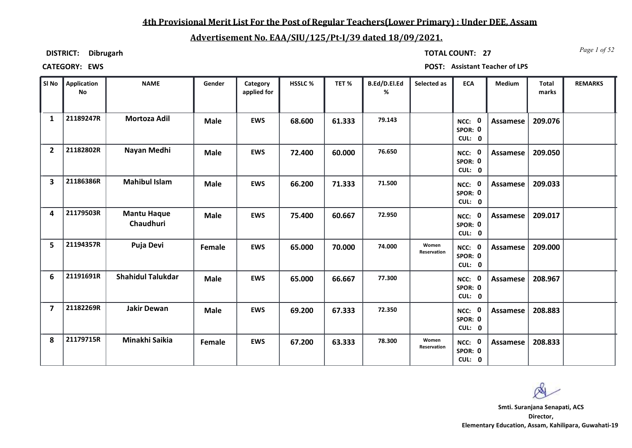## **4th Provisional Merit List For the Post of Regular Teachers(Lower Primary) : Under DEE, Assam**

# **Advertisement No. EAA/SIU/125/Pt-I/39 dated 18/09/2021.**

**DISTRICT: Dibrugarh**

*Page 1 of 52* **TOTAL COUNT: 27**

| SI No                   | Application<br><b>No</b> | <b>NAME</b>                     | Gender      | Category<br>applied for | HSSLC% | TET%   | B.Ed/D.El.Ed<br>% | Selected as          | <b>ECA</b>                  | Medium          | <b>Total</b><br>marks | <b>REMARKS</b> |
|-------------------------|--------------------------|---------------------------------|-------------|-------------------------|--------|--------|-------------------|----------------------|-----------------------------|-----------------|-----------------------|----------------|
| $\mathbf{1}$            | 21189247R                | Mortoza Adil                    | <b>Male</b> | <b>EWS</b>              | 68.600 | 61.333 | 79.143            |                      | NCC: 0<br>SPOR: 0<br>CUL: 0 | Assamese        | 209.076               |                |
| $\overline{2}$          | 21182802R                | Nayan Medhi                     | <b>Male</b> | <b>EWS</b>              | 72.400 | 60.000 | 76.650            |                      | NCC: 0<br>SPOR: 0<br>CUL: 0 | <b>Assamese</b> | 209.050               |                |
| $\overline{\mathbf{3}}$ | 21186386R                | <b>Mahibul Islam</b>            | <b>Male</b> | <b>EWS</b>              | 66.200 | 71.333 | 71.500            |                      | NCC: 0<br>SPOR: 0<br>CUL: 0 | Assamese        | 209.033               |                |
| 4                       | 21179503R                | <b>Mantu Haque</b><br>Chaudhuri | <b>Male</b> | <b>EWS</b>              | 75.400 | 60.667 | 72.950            |                      | NCC: 0<br>SPOR: 0<br>CUL: 0 | <b>Assamese</b> | 209.017               |                |
| 5                       | 21194357R                | Puja Devi                       | Female      | <b>EWS</b>              | 65.000 | 70.000 | 74.000            | Women<br>Reservation | NCC: 0<br>SPOR: 0<br>CUL: 0 | <b>Assamese</b> | 209.000               |                |
| 6                       | 21191691R                | <b>Shahidul Talukdar</b>        | <b>Male</b> | <b>EWS</b>              | 65.000 | 66.667 | 77.300            |                      | NCC: 0<br>SPOR: 0<br>CUL: 0 | Assamese        | 208.967               |                |
| $\overline{7}$          | 21182269R                | <b>Jakir Dewan</b>              | <b>Male</b> | <b>EWS</b>              | 69.200 | 67.333 | 72.350            |                      | NCC: 0<br>SPOR: 0<br>CUL: 0 | <b>Assamese</b> | 208.883               |                |
| 8                       | 21179715R                | Minakhi Saikia                  | Female      | <b>EWS</b>              | 67.200 | 63.333 | 78.300            | Women<br>Reservation | NCC: 0<br>SPOR: 0<br>CUL: 0 | Assamese        | 208.833               |                |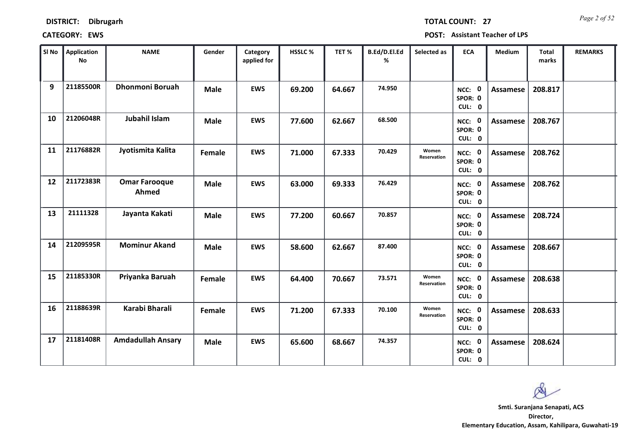| <b>DISTRICT:</b> | <b>Dibrugarh</b> |
|------------------|------------------|
|------------------|------------------|

*Page 2 of 52* **TOTAL COUNT: 27**

| SI No | Application<br>No | <b>NAME</b>                   | Gender      | Category<br>applied for | <b>HSSLC %</b> | TET%   | B.Ed/D.El.Ed<br>% | Selected as          | <b>ECA</b>                  | <b>Medium</b>   | <b>Total</b><br>marks | <b>REMARKS</b> |
|-------|-------------------|-------------------------------|-------------|-------------------------|----------------|--------|-------------------|----------------------|-----------------------------|-----------------|-----------------------|----------------|
| 9     | 21185500R         | <b>Dhonmoni Boruah</b>        | <b>Male</b> | <b>EWS</b>              | 69.200         | 64.667 | 74.950            |                      | NCC: 0<br>SPOR: 0<br>CUL: 0 | <b>Assamese</b> | 208.817               |                |
| 10    | 21206048R         | Jubahil Islam                 | <b>Male</b> | <b>EWS</b>              | 77.600         | 62.667 | 68.500            |                      | NCC: 0<br>SPOR: 0<br>CUL: 0 | Assamese        | 208.767               |                |
| 11    | 21176882R         | Jyotismita Kalita             | Female      | <b>EWS</b>              | 71.000         | 67.333 | 70.429            | Women<br>Reservation | NCC: 0<br>SPOR: 0<br>CUL: 0 | Assamese        | 208.762               |                |
| 12    | 21172383R         | <b>Omar Farooque</b><br>Ahmed | <b>Male</b> | <b>EWS</b>              | 63.000         | 69.333 | 76.429            |                      | NCC: 0<br>SPOR: 0<br>CUL: 0 | Assamese        | 208.762               |                |
| 13    | 21111328          | Jayanta Kakati                | <b>Male</b> | <b>EWS</b>              | 77.200         | 60.667 | 70.857            |                      | NCC: 0<br>SPOR: 0<br>CUL: 0 | <b>Assamese</b> | 208.724               |                |
| 14    | 21209595R         | <b>Mominur Akand</b>          | <b>Male</b> | <b>EWS</b>              | 58.600         | 62.667 | 87.400            |                      | NCC: 0<br>SPOR: 0<br>CUL: 0 | Assamese        | 208.667               |                |
| 15    | 21185330R         | Priyanka Baruah               | Female      | <b>EWS</b>              | 64.400         | 70.667 | 73.571            | Women<br>Reservation | NCC: 0<br>SPOR: 0<br>CUL: 0 | Assamese        | 208.638               |                |
| 16    | 21188639R         | Karabi Bharali                | Female      | <b>EWS</b>              | 71.200         | 67.333 | 70.100            | Women<br>Reservation | NCC: 0<br>SPOR: 0<br>CUL: 0 | <b>Assamese</b> | 208.633               |                |
| 17    | 21181408R         | <b>Amdadullah Ansary</b>      | <b>Male</b> | <b>EWS</b>              | 65.600         | 68.667 | 74.357            |                      | NCC: 0<br>SPOR: 0<br>CUL: 0 | <b>Assamese</b> | 208.624               |                |

 $\infty$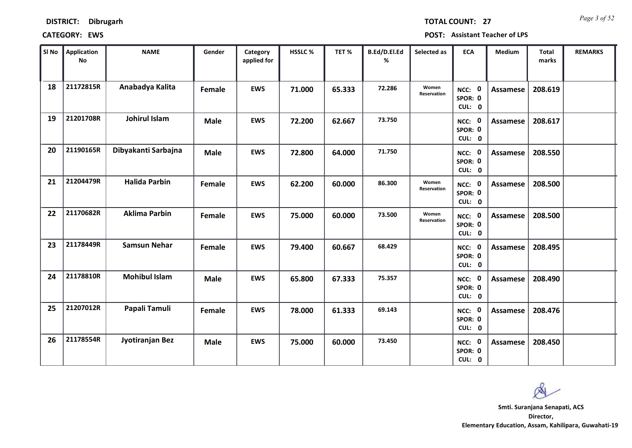*Page 3 of 52* **TOTAL COUNT: 27**

| SI <sub>No</sub> | <b>Application</b><br><b>No</b> | <b>NAME</b>          | Gender      | Category<br>applied for | HSSLC % | TET%   | B.Ed/D.El.Ed<br>% | Selected as          | <b>ECA</b>                  | Medium          | <b>Total</b><br>marks | <b>REMARKS</b> |
|------------------|---------------------------------|----------------------|-------------|-------------------------|---------|--------|-------------------|----------------------|-----------------------------|-----------------|-----------------------|----------------|
| 18               | 21172815R                       | Anabadya Kalita      | Female      | <b>EWS</b>              | 71.000  | 65.333 | 72.286            | Women<br>Reservation | NCC: 0<br>SPOR: 0<br>CUL: 0 | <b>Assamese</b> | 208.619               |                |
| 19               | 21201708R                       | Johirul Islam        | <b>Male</b> | <b>EWS</b>              | 72.200  | 62.667 | 73.750            |                      | NCC: 0<br>SPOR: 0<br>CUL: 0 | <b>Assamese</b> | 208.617               |                |
| 20               | 21190165R                       | Dibyakanti Sarbajna  | <b>Male</b> | <b>EWS</b>              | 72.800  | 64.000 | 71.750            |                      | NCC: 0<br>SPOR: 0<br>CUL: 0 | <b>Assamese</b> | 208.550               |                |
| 21               | 21204479R                       | <b>Halida Parbin</b> | Female      | <b>EWS</b>              | 62.200  | 60.000 | 86.300            | Women<br>Reservation | NCC: 0<br>SPOR: 0<br>CUL: 0 | Assamese        | 208.500               |                |
| 22               | 21170682R                       | <b>Aklima Parbin</b> | Female      | <b>EWS</b>              | 75.000  | 60.000 | 73.500            | Women<br>Reservation | NCC: 0<br>SPOR: 0<br>CUL: 0 | <b>Assamese</b> | 208.500               |                |
| 23               | 21178449R                       | <b>Samsun Nehar</b>  | Female      | <b>EWS</b>              | 79.400  | 60.667 | 68.429            |                      | NCC: 0<br>SPOR: 0<br>CUL: 0 | <b>Assamese</b> | 208.495               |                |
| 24               | 21178810R                       | <b>Mohibul Islam</b> | <b>Male</b> | <b>EWS</b>              | 65.800  | 67.333 | 75.357            |                      | NCC: 0<br>SPOR: 0<br>CUL: 0 | <b>Assamese</b> | 208.490               |                |
| 25               | 21207012R                       | Papali Tamuli        | Female      | <b>EWS</b>              | 78.000  | 61.333 | 69.143            |                      | NCC: 0<br>SPOR: 0<br>CUL: 0 | <b>Assamese</b> | 208.476               |                |
| 26               | 21178554R                       | Jyotiranjan Bez      | <b>Male</b> | <b>EWS</b>              | 75.000  | 60.000 | 73.450            |                      | NCC: 0<br>SPOR: 0<br>CUL: 0 | Assamese        | 208.450               |                |

 $\infty$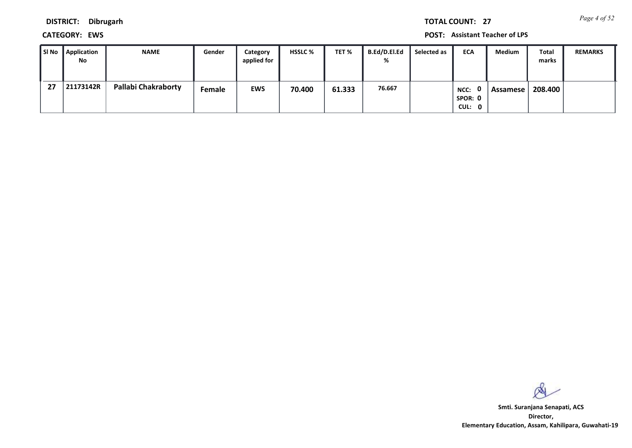*Page 4 of 52* **TOTAL COUNT: 27**

**DISTRICT: Dibrugarh**

**CATEGORY: EWS POST: Assistant Teacher of LPS**

| l SI No | <b>Application</b><br>No | <b>NAME</b>         | Gender        | Category<br>applied for | <b>HSSLC %</b> | TET %  | <b>B.Ed/D.El.Ed</b><br>% | Selected as | <b>ECA</b>                | Medium   | Total<br>marks | <b>REMARKS</b> |
|---------|--------------------------|---------------------|---------------|-------------------------|----------------|--------|--------------------------|-------------|---------------------------|----------|----------------|----------------|
| 27      | 21173142R                | Pallabi Chakraborty | <b>Female</b> | <b>EWS</b>              | 70.400         | 61.333 | 76.667                   |             | NCC:<br>SPOR: 0<br>CUL: 0 | Assamese | 208.400        |                |

 $\infty$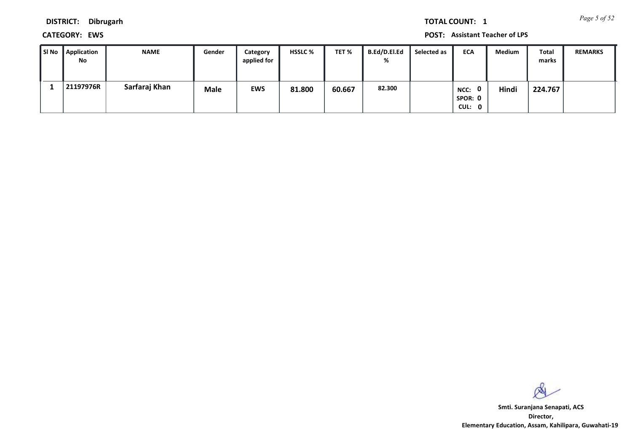*Page 5 of 52* **TOTAL COUNT: 1**

**DISTRICT: Dibrugarh**

**CATEGORY: EWS POST: Assistant Teacher of LPS**

| ∥ SI No | Application<br>No | <b>NAME</b>   | Gender      | Category<br>applied for | <b>HSSLC %</b> | TET %  | B.Ed/D.El.Ed<br>% | Selected as | <b>ECA</b>                | <b>Medium</b> | <b>Total</b><br>marks | <b>REMARKS</b> |
|---------|-------------------|---------------|-------------|-------------------------|----------------|--------|-------------------|-------------|---------------------------|---------------|-----------------------|----------------|
|         | 21197976R         | Sarfaraj Khan | <b>Male</b> | <b>EWS</b>              | 81.800         | 60.667 | 82.300            |             | NCC:<br>SPOR: 0<br>CUL: 0 | Hindi         | 224.767               |                |

 $\infty$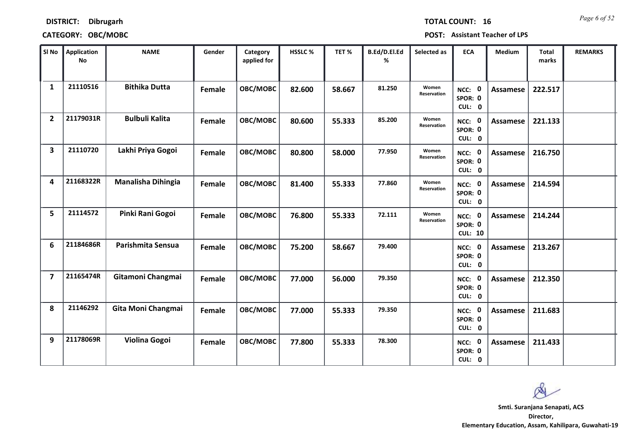| <b>TOTAL COUNT:</b> | 1 |
|---------------------|---|
|                     |   |

### **DISTRICT: Dibrugarh**

# **CATEGORY: OBC/MOBC POST: Assistant Teacher of LPS**

| SI No                   | <b>Application</b><br><b>No</b> | <b>NAME</b>               | Gender | Category<br>applied for | <b>HSSLC %</b> | TET %  | B.Ed/D.El.Ed<br>% | Selected as          | <b>ECA</b>                               | <b>Medium</b>   | <b>Total</b><br>marks | <b>REMARKS</b> |
|-------------------------|---------------------------------|---------------------------|--------|-------------------------|----------------|--------|-------------------|----------------------|------------------------------------------|-----------------|-----------------------|----------------|
| 1                       | 21110516                        | <b>Bithika Dutta</b>      | Female | OBC/MOBC                | 82.600         | 58.667 | 81.250            | Women<br>Reservation | NCC: 0<br>SPOR: 0<br>CUL: 0              | Assamese        | 222.517               |                |
| $\overline{2}$          | 21179031R                       | <b>Bulbuli Kalita</b>     | Female | OBC/MOBC                | 80.600         | 55.333 | 85.200            | Women<br>Reservation | NCC: 0<br>SPOR: 0<br>CUL: 0              | <b>Assamese</b> | 221.133               |                |
| 3                       | 21110720                        | Lakhi Priya Gogoi         | Female | OBC/MOBC                | 80.800         | 58.000 | 77.950            | Women<br>Reservation | NCC: 0<br>SPOR: 0<br>CUL: 0              | <b>Assamese</b> | 216.750               |                |
| 4                       | 21168322R                       | <b>Manalisha Dihingia</b> | Female | OBC/MOBC                | 81.400         | 55.333 | 77.860            | Women<br>Reservation | NCC: 0<br>SPOR: 0<br>CUL: 0              | <b>Assamese</b> | 214.594               |                |
| 5                       | 21114572                        | Pinki Rani Gogoi          | Female | OBC/MOBC                | 76.800         | 55.333 | 72.111            | Women<br>Reservation | NCC: 0<br>SPOR: 0<br><b>CUL: 10</b>      | Assamese        | 214.244               |                |
| 6                       | 21184686R                       | Parishmita Sensua         | Female | OBC/MOBC                | 75.200         | 58.667 | 79.400            |                      | NCC: 0<br>SPOR: 0<br>CUL: 0              | <b>Assamese</b> | 213.267               |                |
| $\overline{\mathbf{z}}$ | 21165474R                       | Gitamoni Changmai         | Female | OBC/MOBC                | 77.000         | 56.000 | 79.350            |                      | NCC: 0<br>SPOR: 0<br>CUL: 0              | <b>Assamese</b> | 212.350               |                |
| 8                       | 21146292                        | Gita Moni Changmai        | Female | OBC/MOBC                | 77.000         | 55.333 | 79.350            |                      | NCC: 0<br>SPOR: 0<br>CUL: 0              | <b>Assamese</b> | 211.683               |                |
| 9                       | 21178069R                       | Violina Gogoi             | Female | OBC/MOBC                | 77.800         | 55.333 | 78.300            |                      | $\mathbf 0$<br>NCC:<br>SPOR: 0<br>CUL: 0 | <b>Assamese</b> | 211.433               |                |

 $\infty$ 

**16** *Page 6 of 52*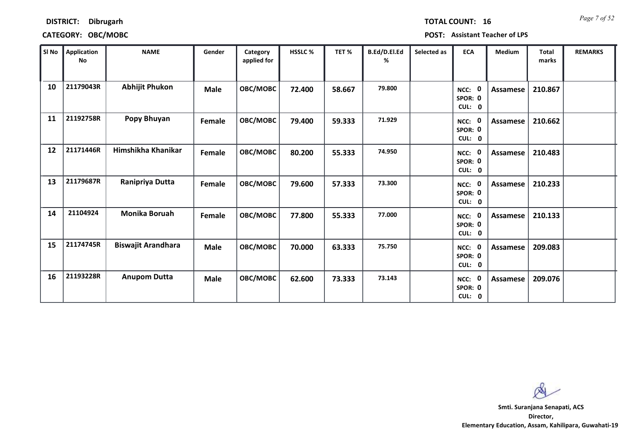|  | <b>TOTAL COUNT:</b> |
|--|---------------------|
|  |                     |
|  |                     |

### **DISTRICT: Dibrugarh**

# **CATEGORY: OBC/MOBC POST: Assistant Teacher of LPS**

| SI No | Application<br>No | <b>NAME</b>               | Gender      | Category<br>applied for | HSSLC% | TET %  | B.Ed/D.El.Ed<br>% | Selected as | <b>ECA</b>                               | Medium          | <b>Total</b><br>marks | <b>REMARKS</b> |
|-------|-------------------|---------------------------|-------------|-------------------------|--------|--------|-------------------|-------------|------------------------------------------|-----------------|-----------------------|----------------|
| 10    | 21179043R         | <b>Abhijit Phukon</b>     | <b>Male</b> | <b>OBC/MOBC</b>         | 72.400 | 58.667 | 79.800            |             | 0<br>NCC:<br>SPOR: 0<br>CUL: 0           | <b>Assamese</b> | 210.867               |                |
| 11    | 21192758R         | Popy Bhuyan               | Female      | OBC/MOBC                | 79.400 | 59.333 | 71.929            |             | $\mathbf 0$<br>NCC:<br>SPOR: 0<br>CUL: 0 | <b>Assamese</b> | 210.662               |                |
| 12    | 21171446R         | Himshikha Khanikar        | Female      | OBC/MOBC                | 80.200 | 55.333 | 74.950            |             | NCC: 0<br>SPOR: 0<br>CUL: 0              | Assamese        | 210.483               |                |
| 13    | 21179687R         | Ranipriya Dutta           | Female      | OBC/MOBC                | 79.600 | 57.333 | 73.300            |             | $\mathbf 0$<br>NCC:<br>SPOR: 0<br>CUL: 0 | <b>Assamese</b> | 210.233               |                |
| 14    | 21104924          | <b>Monika Boruah</b>      | Female      | OBC/MOBC                | 77.800 | 55.333 | 77.000            |             | $\mathbf 0$<br>NCC:<br>SPOR: 0<br>CUL: 0 | <b>Assamese</b> | 210.133               |                |
| 15    | 21174745R         | <b>Biswajit Arandhara</b> | <b>Male</b> | OBC/MOBC                | 70.000 | 63.333 | 75.750            |             | $\mathbf 0$<br>NCC:<br>SPOR: 0<br>CUL: 0 | <b>Assamese</b> | 209.083               |                |
| 16    | 21193228R         | <b>Anupom Dutta</b>       | <b>Male</b> | OBC/MOBC                | 62.600 | 73.333 | 73.143            |             | 0<br>NCC:<br>SPOR: 0<br>CUL: 0           | <b>Assamese</b> | 209.076               |                |

 $\infty$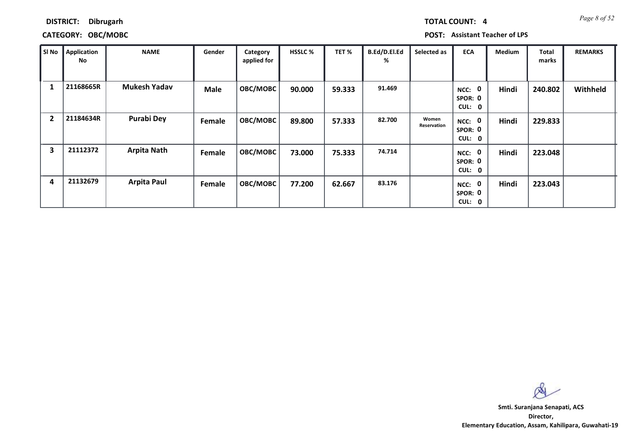*Page 8 of 52* **TOTAL COUNT: 4**

### **DISTRICT: Dibrugarh**

### **CATEGORY: OBC/MOBC POST: Assistant Teacher of LPS**

| SI No          | <b>Application</b><br>No | <b>NAME</b>         | Gender      | Category<br>applied for | <b>HSSLC %</b> | TET%   | B.Ed/D.El.Ed<br>% | Selected as          | <b>ECA</b>                               | <b>Medium</b> | <b>Total</b><br>marks | <b>REMARKS</b> |
|----------------|--------------------------|---------------------|-------------|-------------------------|----------------|--------|-------------------|----------------------|------------------------------------------|---------------|-----------------------|----------------|
|                | 21168665R                | <b>Mukesh Yadav</b> | <b>Male</b> | <b>OBC/MOBC</b>         | 90.000         | 59.333 | 91.469            |                      | 0<br>NCC:<br>SPOR: 0<br>CUL: 0           | Hindi         | 240.802               | Withheld       |
| $\overline{2}$ | 21184634R                | <b>Purabi Dey</b>   | Female      | OBC/MOBC                | 89.800         | 57.333 | 82.700            | Women<br>Reservation | - 0<br>NCC:<br>SPOR: 0<br>CUL: 0         | Hindi         | 229.833               |                |
| 3              | 21112372                 | <b>Arpita Nath</b>  | Female      | <b>OBC/MOBC</b>         | 73.000         | 75.333 | 74.714            |                      | $\mathbf 0$<br>NCC:<br>SPOR: 0<br>CUL: 0 | Hindi         | 223.048               |                |
| 4              | 21132679                 | <b>Arpita Paul</b>  | Female      | <b>OBC/MOBC</b>         | 77.200         | 62.667 | 83.176            |                      | 0<br>NCC:<br>SPOR: 0<br>CUL: 0           | Hindi         | 223.043               |                |

Ø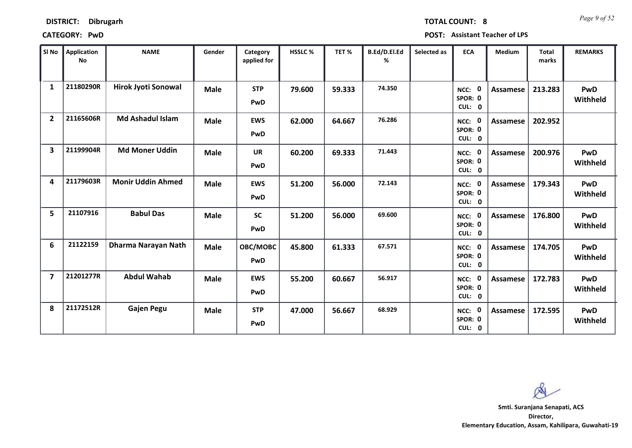| <b>DISTRICT:</b> | <b>Dibrugarh</b> |
|------------------|------------------|
|------------------|------------------|

*Page 9 of 52* **TOTAL COUNT: 8**

**CATEGORY: PwD POST: Assistant Teacher of LPS**

| SI <sub>No</sub>        | Application<br><b>No</b> | <b>NAME</b>                | Gender      | Category<br>applied for | HSSLC % | TET %  | B.Ed/D.El.Ed<br>% | Selected as | <b>ECA</b>                     | <b>Medium</b>   | <b>Total</b><br>marks | <b>REMARKS</b>         |
|-------------------------|--------------------------|----------------------------|-------------|-------------------------|---------|--------|-------------------|-------------|--------------------------------|-----------------|-----------------------|------------------------|
| $\mathbf{1}$            | 21180290R                | <b>Hirok Jyoti Sonowal</b> | <b>Male</b> | <b>STP</b><br>PwD       | 79.600  | 59.333 | 74.350            |             | NCC: 0<br>SPOR: 0<br>CUL: 0    | Assamese        | 213.283               | <b>PwD</b><br>Withheld |
| $\overline{2}$          | 21165606R                | <b>Md Ashadul Islam</b>    | <b>Male</b> | <b>EWS</b><br>PwD       | 62.000  | 64.667 | 76.286            |             | NCC: 0<br>SPOR: 0<br>CUL: 0    | Assamese        | 202.952               |                        |
| $\overline{\mathbf{3}}$ | 21199904R                | <b>Md Moner Uddin</b>      | <b>Male</b> | <b>UR</b><br>PwD        | 60.200  | 69.333 | 71.443            |             | NCC: 0<br>SPOR: 0<br>CUL: 0    | <b>Assamese</b> | 200.976               | PwD<br>Withheld        |
| 4                       | 21179603R                | <b>Monir Uddin Ahmed</b>   | <b>Male</b> | <b>EWS</b><br>PwD       | 51.200  | 56.000 | 72.143            |             | NCC: 0<br>SPOR: 0<br>CUL: 0    | <b>Assamese</b> | 179.343               | <b>PwD</b><br>Withheld |
| 5                       | 21107916                 | <b>Babul Das</b>           | <b>Male</b> | <b>SC</b><br>PwD        | 51.200  | 56.000 | 69.600            |             | NCC: 0<br>SPOR: 0<br>CUL: 0    | <b>Assamese</b> | 176.800               | <b>PwD</b><br>Withheld |
| 6                       | 21122159                 | Dharma Narayan Nath        | <b>Male</b> | OBC/MOBC<br>PwD         | 45.800  | 61.333 | 67.571            |             | NCC: 0<br>SPOR: 0<br>CUL: 0    | Assamese        | 174.705               | <b>PwD</b><br>Withheld |
| $\overline{\mathbf{z}}$ | 21201277R                | <b>Abdul Wahab</b>         | <b>Male</b> | <b>EWS</b><br>PwD       | 55.200  | 60.667 | 56.917            |             | 0<br>NCC:<br>SPOR: 0<br>CUL: 0 | Assamese        | 172.783               | PwD<br>Withheld        |
| 8                       | 21172512R                | <b>Gajen Pegu</b>          | <b>Male</b> | <b>STP</b><br>PwD       | 47.000  | 56.667 | 68.929            |             | NCC: 0<br>SPOR: 0<br>CUL: 0    | Assamese        | 172.595               | PwD<br>Withheld        |

 $\infty$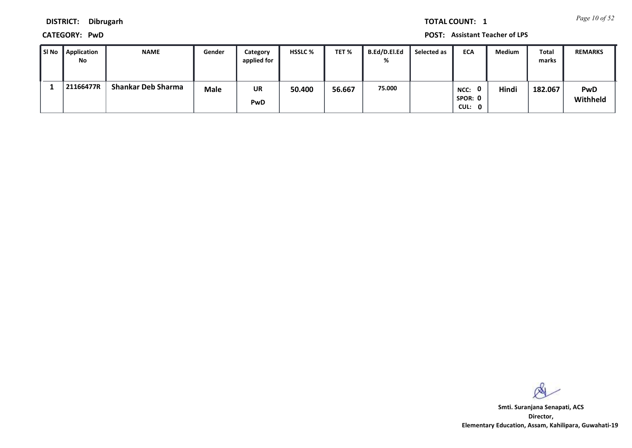*Page 10 of 52* **TOTAL COUNT: 1**

**DISTRICT: Dibrugarh**

**CATEGORY: PwD POST: Assistant Teacher of LPS**

| l SI No | Application<br>No | <b>NAME</b>               | Gender      | Category<br>applied for | <b>HSSLC %</b> | TET %  | B.Ed/D.El.Ed<br>% | Selected as | <b>ECA</b>                | Medium | Total<br>marks | <b>REMARKS</b>  |
|---------|-------------------|---------------------------|-------------|-------------------------|----------------|--------|-------------------|-------------|---------------------------|--------|----------------|-----------------|
|         | 21166477R         | <b>Shankar Deb Sharma</b> | <b>Male</b> | UR<br>PwD               | 50.400         | 56.667 | 75.000            |             | NCC:<br>SPOR: 0<br>CUL: 0 | Hindi  | 182.067        | PwD<br>Withheld |

 $\infty$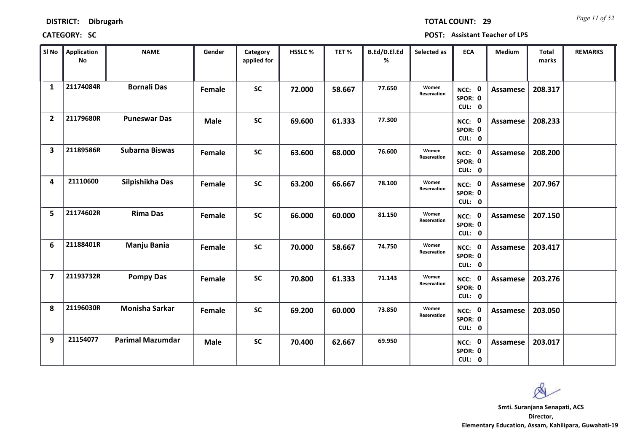*Page 11 of 52* **TOTAL COUNT: 29**

| SI <sub>No</sub>        | Application<br>No | <b>NAME</b>             | Gender      | Category<br>applied for | <b>HSSLC %</b> | TET %  | B.Ed/D.El.Ed<br>% | Selected as          | <b>ECA</b>                  | <b>Medium</b>   | <b>Total</b><br>marks | <b>REMARKS</b> |
|-------------------------|-------------------|-------------------------|-------------|-------------------------|----------------|--------|-------------------|----------------------|-----------------------------|-----------------|-----------------------|----------------|
| $\mathbf{1}$            | 21174084R         | <b>Bornali Das</b>      | Female      | <b>SC</b>               | 72.000         | 58.667 | 77.650            | Women<br>Reservation | NCC: 0<br>SPOR: 0<br>CUL: 0 | Assamese        | 208.317               |                |
| $\overline{2}$          | 21179680R         | <b>Puneswar Das</b>     | <b>Male</b> | <b>SC</b>               | 69.600         | 61.333 | 77.300            |                      | NCC: 0<br>SPOR: 0<br>CUL: 0 | <b>Assamese</b> | 208.233               |                |
| $\overline{\mathbf{3}}$ | 21189586R         | Subarna Biswas          | Female      | <b>SC</b>               | 63.600         | 68.000 | 76.600            | Women<br>Reservation | NCC: 0<br>SPOR: 0<br>CUL: 0 | <b>Assamese</b> | 208.200               |                |
| 4                       | 21110600          | Silpishikha Das         | Female      | <b>SC</b>               | 63.200         | 66.667 | 78.100            | Women<br>Reservation | NCC: 0<br>SPOR: 0<br>CUL: 0 | <b>Assamese</b> | 207.967               |                |
| 5                       | 21174602R         | <b>Rima Das</b>         | Female      | <b>SC</b>               | 66.000         | 60.000 | 81.150            | Women<br>Reservation | NCC: 0<br>SPOR: 0<br>CUL: 0 | <b>Assamese</b> | 207.150               |                |
| 6                       | 21188401R         | Manju Bania             | Female      | <b>SC</b>               | 70.000         | 58.667 | 74.750            | Women<br>Reservation | NCC: 0<br>SPOR: 0<br>CUL: 0 | Assamese        | 203.417               |                |
| $\overline{7}$          | 21193732R         | <b>Pompy Das</b>        | Female      | <b>SC</b>               | 70.800         | 61.333 | 71.143            | Women<br>Reservation | NCC: 0<br>SPOR: 0<br>CUL: 0 | Assamese        | 203.276               |                |
| 8                       | 21196030R         | <b>Monisha Sarkar</b>   | Female      | <b>SC</b>               | 69.200         | 60.000 | 73.850            | Women<br>Reservation | NCC: 0<br>SPOR: 0<br>CUL: 0 | <b>Assamese</b> | 203.050               |                |
| 9                       | 21154077          | <b>Parimal Mazumdar</b> | <b>Male</b> | <b>SC</b>               | 70.400         | 62.667 | 69.950            |                      | NCC: 0<br>SPOR: 0<br>CUL: 0 | Assamese        | 203.017               |                |

 $\infty$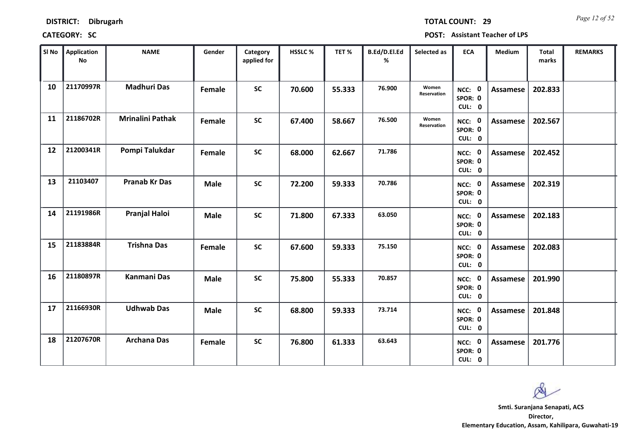*Page 12 of 52* **TOTAL COUNT: 29**

| SI No | Application<br>No | <b>NAME</b>             | Gender      | Category<br>applied for | <b>HSSLC %</b> | TET %  | B.Ed/D.El.Ed<br>% | Selected as          | <b>ECA</b>                  | <b>Medium</b>   | <b>Total</b><br>marks | <b>REMARKS</b> |
|-------|-------------------|-------------------------|-------------|-------------------------|----------------|--------|-------------------|----------------------|-----------------------------|-----------------|-----------------------|----------------|
| 10    | 21170997R         | <b>Madhuri Das</b>      | Female      | <b>SC</b>               | 70.600         | 55.333 | 76.900            | Women<br>Reservation | NCC: 0<br>SPOR: 0<br>CUL: 0 | Assamese        | 202.833               |                |
| 11    | 21186702R         | <b>Mrinalini Pathak</b> | Female      | <b>SC</b>               | 67.400         | 58.667 | 76.500            | Women<br>Reservation | NCC: 0<br>SPOR: 0<br>CUL: 0 | Assamese        | 202.567               |                |
| 12    | 21200341R         | Pompi Talukdar          | Female      | <b>SC</b>               | 68.000         | 62.667 | 71.786            |                      | NCC: 0<br>SPOR: 0<br>CUL: 0 | <b>Assamese</b> | 202.452               |                |
| 13    | 21103407          | <b>Pranab Kr Das</b>    | <b>Male</b> | <b>SC</b>               | 72.200         | 59.333 | 70.786            |                      | NCC: 0<br>SPOR: 0<br>CUL: 0 | Assamese        | 202.319               |                |
| 14    | 21191986R         | <b>Pranjal Haloi</b>    | <b>Male</b> | <b>SC</b>               | 71.800         | 67.333 | 63.050            |                      | NCC: 0<br>SPOR: 0<br>CUL: 0 | Assamese        | 202.183               |                |
| 15    | 21183884R         | <b>Trishna Das</b>      | Female      | <b>SC</b>               | 67.600         | 59.333 | 75.150            |                      | NCC: 0<br>SPOR: 0<br>CUL: 0 | Assamese        | 202.083               |                |
| 16    | 21180897R         | <b>Kanmani Das</b>      | <b>Male</b> | <b>SC</b>               | 75.800         | 55.333 | 70.857            |                      | NCC: 0<br>SPOR: 0<br>CUL: 0 | Assamese        | 201.990               |                |
| 17    | 21166930R         | <b>Udhwab Das</b>       | <b>Male</b> | <b>SC</b>               | 68.800         | 59.333 | 73.714            |                      | NCC: 0<br>SPOR: 0<br>CUL: 0 | <b>Assamese</b> | 201.848               |                |
| 18    | 21207670R         | <b>Archana Das</b>      | Female      | <b>SC</b>               | 76.800         | 61.333 | 63.643            |                      | NCC: 0<br>SPOR: 0<br>CUL: 0 | Assamese        | 201.776               |                |

 $\infty$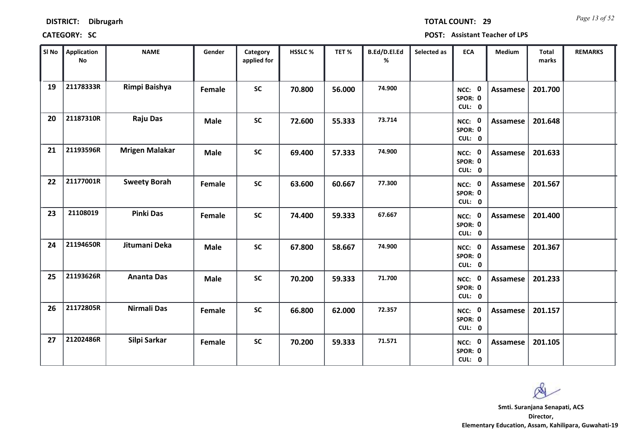| <b>DISTRICT:</b> | <b>Dibrugarh</b> |
|------------------|------------------|
|------------------|------------------|

*Page 13 of 52* **TOTAL COUNT: 29**

| SI No | Application<br>No | <b>NAME</b>           | Gender      | Category<br>applied for | <b>HSSLC%</b> | TET %  | B.Ed/D.El.Ed<br>% | Selected as | <b>ECA</b>                  | <b>Medium</b>   | <b>Total</b><br>marks | <b>REMARKS</b> |
|-------|-------------------|-----------------------|-------------|-------------------------|---------------|--------|-------------------|-------------|-----------------------------|-----------------|-----------------------|----------------|
| 19    | 21178333R         | Rimpi Baishya         | Female      | <b>SC</b>               | 70.800        | 56.000 | 74.900            |             | NCC: 0<br>SPOR: 0<br>CUL: 0 | <b>Assamese</b> | 201.700               |                |
| 20    | 21187310R         | <b>Raju Das</b>       | <b>Male</b> | <b>SC</b>               | 72.600        | 55.333 | 73.714            |             | NCC: 0<br>SPOR: 0<br>CUL: 0 | Assamese        | 201.648               |                |
| 21    | 21193596R         | <b>Mrigen Malakar</b> | <b>Male</b> | <b>SC</b>               | 69.400        | 57.333 | 74.900            |             | NCC: 0<br>SPOR: 0<br>CUL: 0 | <b>Assamese</b> | 201.633               |                |
| 22    | 21177001R         | <b>Sweety Borah</b>   | Female      | <b>SC</b>               | 63.600        | 60.667 | 77.300            |             | NCC: 0<br>SPOR: 0<br>CUL: 0 | Assamese        | 201.567               |                |
| 23    | 21108019          | <b>Pinki Das</b>      | Female      | <b>SC</b>               | 74.400        | 59.333 | 67.667            |             | NCC: 0<br>SPOR: 0<br>CUL: 0 | Assamese        | 201.400               |                |
| 24    | 21194650R         | Jitumani Deka         | <b>Male</b> | <b>SC</b>               | 67.800        | 58.667 | 74.900            |             | NCC: 0<br>SPOR: 0<br>CUL: 0 | <b>Assamese</b> | 201.367               |                |
| 25    | 21193626R         | <b>Ananta Das</b>     | <b>Male</b> | <b>SC</b>               | 70.200        | 59.333 | 71.700            |             | NCC: 0<br>SPOR: 0<br>CUL: 0 | <b>Assamese</b> | 201.233               |                |
| 26    | 21172805R         | <b>Nirmali Das</b>    | Female      | <b>SC</b>               | 66.800        | 62.000 | 72.357            |             | NCC: 0<br>SPOR: 0<br>CUL: 0 | Assamese        | 201.157               |                |
| 27    | 21202486R         | Silpi Sarkar          | Female      | <b>SC</b>               | 70.200        | 59.333 | 71.571            |             | NCC: 0<br>SPOR: 0<br>CUL: 0 | <b>Assamese</b> | 201.105               |                |

 $\infty$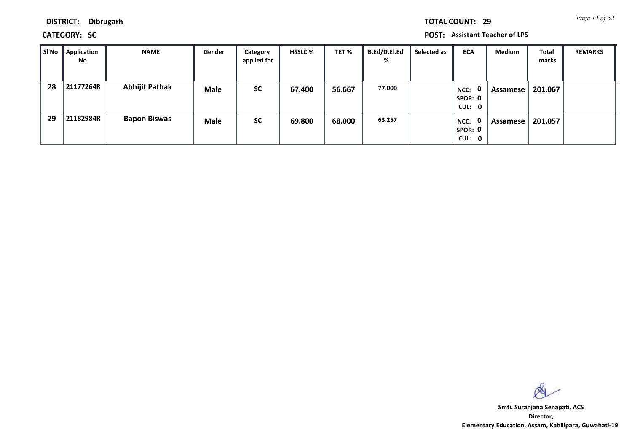*Page 14 of 52* **TOTAL COUNT: 29**

**DISTRICT: Dibrugarh**

**CATEGORY: SC POST: Assistant Teacher of LPS**

| l SI No | <b>Application</b><br>No | <b>NAME</b>           | Gender      | Category<br>applied for | <b>HSSLC %</b> | TET %  | <b>B.Ed/D.El.Ed</b><br>% | Selected as | <b>ECA</b>                                | Medium   | Total<br>marks | <b>REMARKS</b> |
|---------|--------------------------|-----------------------|-------------|-------------------------|----------------|--------|--------------------------|-------------|-------------------------------------------|----------|----------------|----------------|
| 28      | 21177264R                | <b>Abhijit Pathak</b> | <b>Male</b> | <b>SC</b>               | 67.400         | 56.667 | 77.000                   |             | $\mathbf{0}$<br>NCC:<br>SPOR: 0<br>CUL: 0 | Assamese | 201.067        |                |
| 29      | 21182984R                | <b>Bapon Biswas</b>   | <b>Male</b> | <b>SC</b>               | 69.800         | 68.000 | 63.257                   |             | NCC: 0<br>SPOR: 0<br>CUL: 0               | Assamese | 201.057        |                |

 $\infty$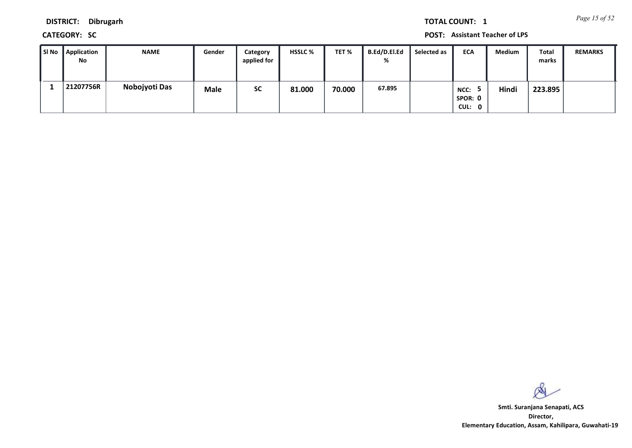*Page 15 of 52* **TOTAL COUNT: 1**

**DISTRICT: Dibrugarh**

**CATEGORY: SC POST: Assistant Teacher of LPS**

| ∥ SI No | <b>Application</b><br>No | <b>NAME</b>   | Gender      | Category<br>applied for | <b>HSSLC %</b> | TET %  | B.Ed/D.El.Ed<br>% | Selected as | <b>ECA</b>                | Medium | Total<br>marks | <b>REMARKS</b> |
|---------|--------------------------|---------------|-------------|-------------------------|----------------|--------|-------------------|-------------|---------------------------|--------|----------------|----------------|
|         | 21207756R                | Nobojyoti Das | <b>Male</b> | SC                      | 81.000         | 70.000 | 67.895            |             | NCC:<br>SPOR: 0<br>CUL: 0 | Hindi  | 223.895        |                |

 $\infty$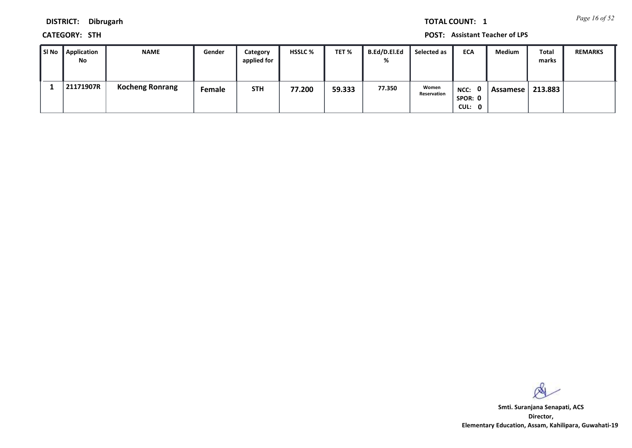*Page 16 of 52* **TOTAL COUNT: 1**

**DISTRICT: Dibrugarh**

**CATEGORY: STH POST: Assistant Teacher of LPS**

| ∥SI No | Application<br><b>No</b> | <b>NAME</b>            | Gender | Category<br>applied for | <b>HSSLC %</b> | TET %  | B.Ed/D.El.Ed<br>% | Selected as          | <b>ECA</b>                  | Medium   | Total<br>marks | <b>REMARKS</b> |
|--------|--------------------------|------------------------|--------|-------------------------|----------------|--------|-------------------|----------------------|-----------------------------|----------|----------------|----------------|
|        | 21171907R                | <b>Kocheng Ronrang</b> | Female | <b>STH</b>              | 77.200         | 59.333 | 77.350            | Women<br>Reservation | NCC: 0<br>SPOR: 0<br>CUL: 0 | Assamese | 213.883        |                |

 $\infty$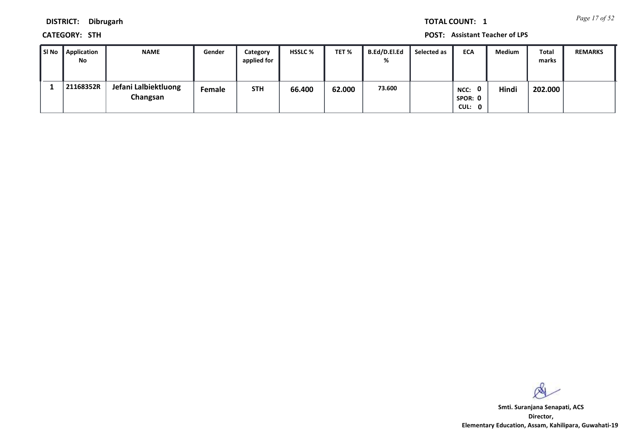*Page 17 of 52* **TOTAL COUNT: 1**

**DISTRICT: Dibrugarh**

**CATEGORY: STH POST: Assistant Teacher of LPS**

| SI No | <b>Application</b><br>No | <b>NAME</b>                      | Gender | Category<br>applied for | <b>HSSLC %</b> | TET %  | B.Ed/D.El.Ed<br>% | Selected as | <b>ECA</b>                     | Medium | Total<br>marks | <b>REMARKS</b> |
|-------|--------------------------|----------------------------------|--------|-------------------------|----------------|--------|-------------------|-------------|--------------------------------|--------|----------------|----------------|
|       | 21168352R                | Jefani Lalbiektluong<br>Changsan | Female | <b>STH</b>              | 66.400         | 62.000 | 73.600            |             | NCC:<br>0<br>SPOR: 0<br>CUL: 0 | Hindi  | 202.000        |                |

 $\infty$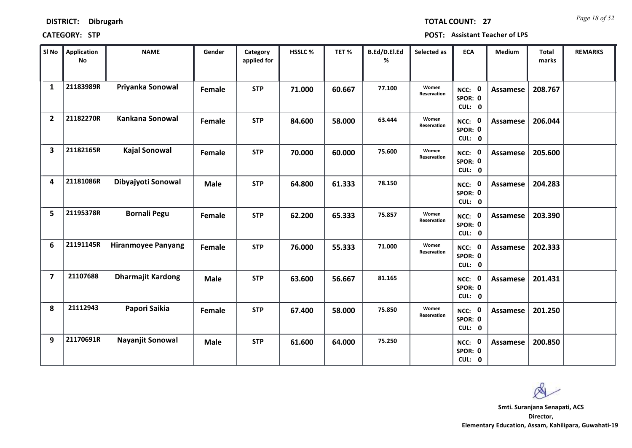*Page 18 of 52* **TOTAL COUNT: 27**

| SI No                   | Application<br>No | <b>NAME</b>               | Gender      | Category<br>applied for | HSSLC % | TET%   | B.Ed/D.El.Ed<br>% | Selected as          | <b>ECA</b>                  | <b>Medium</b>   | <b>Total</b><br>marks | <b>REMARKS</b> |
|-------------------------|-------------------|---------------------------|-------------|-------------------------|---------|--------|-------------------|----------------------|-----------------------------|-----------------|-----------------------|----------------|
| $\mathbf{1}$            | 21183989R         | Priyanka Sonowal          | Female      | <b>STP</b>              | 71.000  | 60.667 | 77.100            | Women<br>Reservation | NCC: 0<br>SPOR: 0<br>CUL: 0 | <b>Assamese</b> | 208.767               |                |
| $\overline{2}$          | 21182270R         | Kankana Sonowal           | Female      | <b>STP</b>              | 84.600  | 58.000 | 63.444            | Women<br>Reservation | NCC: 0<br>SPOR: 0<br>CUL: 0 | <b>Assamese</b> | 206.044               |                |
| 3                       | 21182165R         | <b>Kajal Sonowal</b>      | Female      | <b>STP</b>              | 70.000  | 60.000 | 75.600            | Women<br>Reservation | NCC: 0<br>SPOR: 0<br>CUL: 0 | <b>Assamese</b> | 205.600               |                |
| 4                       | 21181086R         | Dibyajyoti Sonowal        | <b>Male</b> | <b>STP</b>              | 64.800  | 61.333 | 78.150            |                      | NCC: 0<br>SPOR: 0<br>CUL: 0 | <b>Assamese</b> | 204.283               |                |
| 5                       | 21195378R         | <b>Bornali Pegu</b>       | Female      | <b>STP</b>              | 62.200  | 65.333 | 75.857            | Women<br>Reservation | NCC: 0<br>SPOR: 0<br>CUL: 0 | <b>Assamese</b> | 203.390               |                |
| 6                       | 21191145R         | <b>Hiranmoyee Panyang</b> | Female      | <b>STP</b>              | 76.000  | 55.333 | 71.000            | Women<br>Reservation | NCC: 0<br>SPOR: 0<br>CUL: 0 | <b>Assamese</b> | 202.333               |                |
| $\overline{\mathbf{z}}$ | 21107688          | <b>Dharmajit Kardong</b>  | <b>Male</b> | <b>STP</b>              | 63.600  | 56.667 | 81.165            |                      | NCC: 0<br>SPOR: 0<br>CUL: 0 | <b>Assamese</b> | 201.431               |                |
| 8                       | 21112943          | Papori Saikia             | Female      | <b>STP</b>              | 67.400  | 58.000 | 75.850            | Women<br>Reservation | NCC: 0<br>SPOR: 0<br>CUL: 0 | <b>Assamese</b> | 201.250               |                |
| 9                       | 21170691R         | Nayanjit Sonowal          | <b>Male</b> | <b>STP</b>              | 61.600  | 64.000 | 75.250            |                      | NCC: 0<br>SPOR: 0<br>CUL: 0 | Assamese        | 200.850               |                |

 $\infty$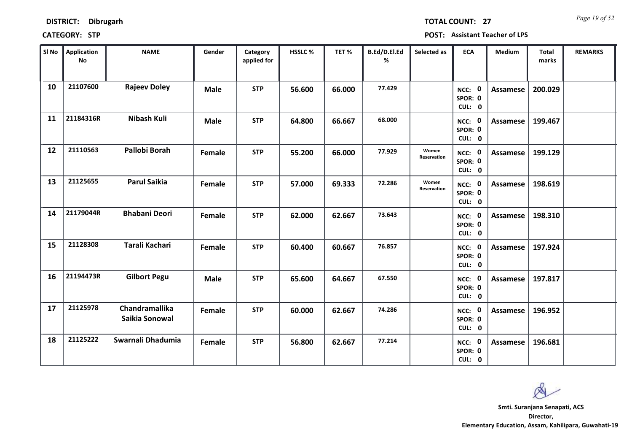| <b>DISTRICT:</b> | Dibrugarh |
|------------------|-----------|
|------------------|-----------|

*Page 19 of 52* **TOTAL COUNT: 27**

| SI No | <b>Application</b><br>No | <b>NAME</b>                             | Gender      | Category<br>applied for | <b>HSSLC %</b> | TET %  | B.Ed/D.El.Ed<br>% | Selected as          | <b>ECA</b>                  | <b>Medium</b>   | <b>Total</b><br>marks | <b>REMARKS</b> |
|-------|--------------------------|-----------------------------------------|-------------|-------------------------|----------------|--------|-------------------|----------------------|-----------------------------|-----------------|-----------------------|----------------|
| 10    | 21107600                 | <b>Rajeev Doley</b>                     | <b>Male</b> | <b>STP</b>              | 56.600         | 66.000 | 77.429            |                      | NCC: 0<br>SPOR: 0<br>CUL: 0 | <b>Assamese</b> | 200.029               |                |
| 11    | 21184316R                | Nibash Kuli                             | <b>Male</b> | <b>STP</b>              | 64.800         | 66.667 | 68.000            |                      | NCC: 0<br>SPOR: 0<br>CUL: 0 | Assamese        | 199.467               |                |
| 12    | 21110563                 | Pallobi Borah                           | Female      | <b>STP</b>              | 55.200         | 66.000 | 77.929            | Women<br>Reservation | NCC: 0<br>SPOR: 0<br>CUL: 0 | Assamese        | 199.129               |                |
| 13    | 21125655                 | <b>Parul Saikia</b>                     | Female      | <b>STP</b>              | 57.000         | 69.333 | 72.286            | Women<br>Reservation | NCC: 0<br>SPOR: 0<br>CUL: 0 | Assamese        | 198.619               |                |
| 14    | 21179044R                | <b>Bhabani Deori</b>                    | Female      | <b>STP</b>              | 62.000         | 62.667 | 73.643            |                      | NCC: 0<br>SPOR: 0<br>CUL: 0 | Assamese        | 198.310               |                |
| 15    | 21128308                 | Tarali Kachari                          | Female      | <b>STP</b>              | 60.400         | 60.667 | 76.857            |                      | NCC: 0<br>SPOR: 0<br>CUL: 0 | Assamese        | 197.924               |                |
| 16    | 21194473R                | <b>Gilbort Pegu</b>                     | <b>Male</b> | <b>STP</b>              | 65.600         | 64.667 | 67.550            |                      | NCC: 0<br>SPOR: 0<br>CUL: 0 | Assamese        | 197.817               |                |
| 17    | 21125978                 | <b>Chandramallika</b><br>Saikia Sonowal | Female      | <b>STP</b>              | 60.000         | 62.667 | 74.286            |                      | NCC: 0<br>SPOR: 0<br>CUL: 0 | Assamese        | 196.952               |                |
| 18    | 21125222                 | Swarnali Dhadumia                       | Female      | <b>STP</b>              | 56.800         | 62.667 | 77.214            |                      | NCC: 0<br>SPOR: 0<br>CUL: 0 | Assamese        | 196.681               |                |

 $\infty$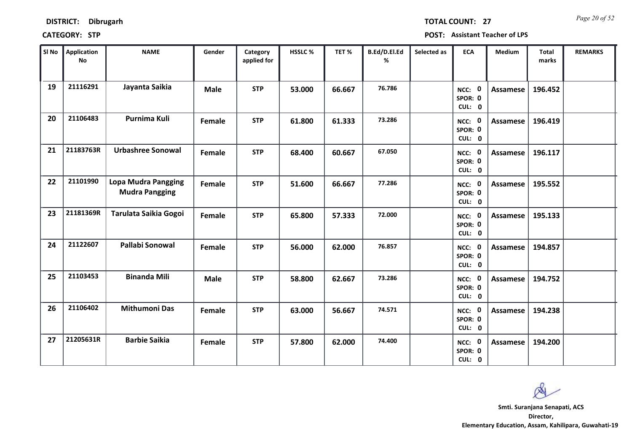| <b>DISTRICT:</b><br><b>Dibrugarh</b> |
|--------------------------------------|
|--------------------------------------|

*Page 20 of 52* **TOTAL COUNT: 27**

| SI No | Application<br>No | <b>NAME</b>                                         | Gender      | Category<br>applied for | <b>HSSLC %</b> | TET %  | B.Ed/D.El.Ed<br>% | Selected as | <b>ECA</b>                  | <b>Medium</b>   | <b>Total</b><br>marks | <b>REMARKS</b> |
|-------|-------------------|-----------------------------------------------------|-------------|-------------------------|----------------|--------|-------------------|-------------|-----------------------------|-----------------|-----------------------|----------------|
| 19    | 21116291          | Jayanta Saikia                                      | <b>Male</b> | <b>STP</b>              | 53.000         | 66.667 | 76.786            |             | NCC: 0<br>SPOR: 0<br>CUL: 0 | Assamese        | 196.452               |                |
| 20    | 21106483          | Purnima Kuli                                        | Female      | <b>STP</b>              | 61.800         | 61.333 | 73.286            |             | NCC: 0<br>SPOR: 0<br>CUL: 0 | Assamese        | 196.419               |                |
| 21    | 21183763R         | <b>Urbashree Sonowal</b>                            | Female      | <b>STP</b>              | 68.400         | 60.667 | 67.050            |             | NCC: 0<br>SPOR: 0<br>CUL: 0 | <b>Assamese</b> | 196.117               |                |
| 22    | 21101990          | <b>Lopa Mudra Pangging</b><br><b>Mudra Pangging</b> | Female      | <b>STP</b>              | 51.600         | 66.667 | 77.286            |             | NCC: 0<br>SPOR: 0<br>CUL: 0 | Assamese        | 195.552               |                |
| 23    | 21181369R         | Tarulata Saikia Gogoi                               | Female      | <b>STP</b>              | 65.800         | 57.333 | 72.000            |             | NCC: 0<br>SPOR: 0<br>CUL: 0 | Assamese        | 195.133               |                |
| 24    | 21122607          | Pallabi Sonowal                                     | Female      | <b>STP</b>              | 56.000         | 62.000 | 76.857            |             | NCC: 0<br>SPOR: 0<br>CUL: 0 | Assamese        | 194.857               |                |
| 25    | 21103453          | <b>Binanda Mili</b>                                 | <b>Male</b> | <b>STP</b>              | 58.800         | 62.667 | 73.286            |             | NCC: 0<br>SPOR: 0<br>CUL: 0 | Assamese        | 194.752               |                |
| 26    | 21106402          | <b>Mithumoni Das</b>                                | Female      | <b>STP</b>              | 63.000         | 56.667 | 74.571            |             | NCC: 0<br>SPOR: 0<br>CUL: 0 | <b>Assamese</b> | 194.238               |                |
| 27    | 21205631R         | <b>Barbie Saikia</b>                                | Female      | <b>STP</b>              | 57.800         | 62.000 | 74.400            |             | NCC: 0<br>SPOR: 0<br>CUL: 0 | Assamese        | 194.200               |                |

 $\infty$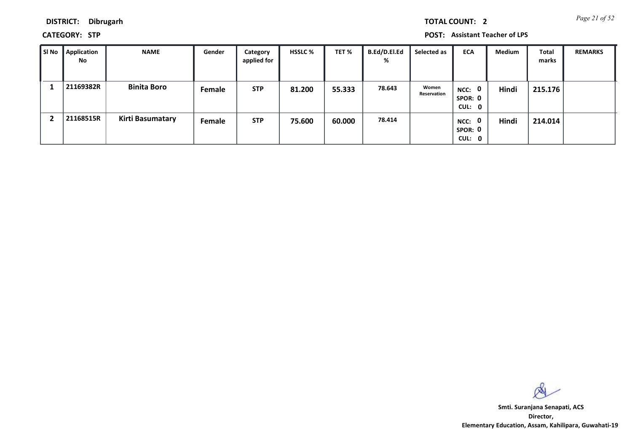*Page 21 of 52* **TOTAL COUNT: 2**

**DISTRICT: Dibrugarh**

**CATEGORY: STP POST: Assistant Teacher of LPS**

| l SI No | Application<br>No | <b>NAME</b>        | Gender | Category<br>applied for | <b>HSSLC %</b> | TET %  | <b>B.Ed/D.El.Ed</b><br>% | Selected as          | <b>ECA</b>                  | Medium | Total<br>marks | <b>REMARKS</b> |
|---------|-------------------|--------------------|--------|-------------------------|----------------|--------|--------------------------|----------------------|-----------------------------|--------|----------------|----------------|
|         | 21169382R         | <b>Binita Boro</b> | Female | <b>STP</b>              | 81.200         | 55.333 | 78.643                   | Women<br>Reservation | NCC: 0<br>SPOR: 0<br>CUL: 0 | Hindi  | 215.176        |                |
|         | 21168515R         | Kirti Basumatary   | Female | <b>STP</b>              | 75.600         | 60.000 | 78.414                   |                      | NCC: 0<br>SPOR: 0<br>CUL: 0 | Hindi  | 214.014        |                |

 $\infty$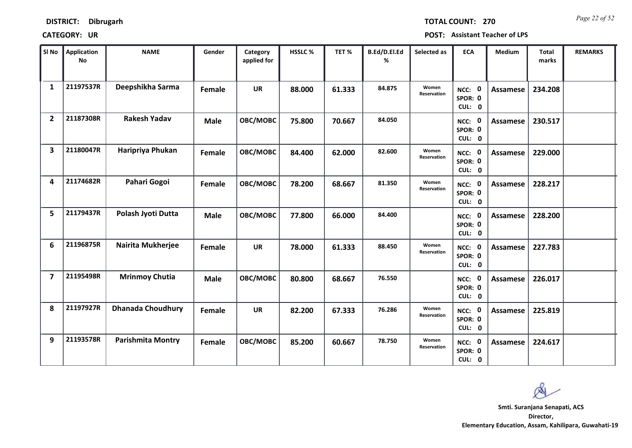*Page 22 of 52* **TOTAL COUNT: 270**

| SI No                   | <b>Application</b><br>No | <b>NAME</b>              | Gender        | Category<br>applied for | <b>HSSLC%</b> | TET%   | B.Ed/D.El.Ed<br>% | Selected as          | <b>ECA</b>                  | <b>Medium</b>   | <b>Total</b><br>marks | <b>REMARKS</b> |
|-------------------------|--------------------------|--------------------------|---------------|-------------------------|---------------|--------|-------------------|----------------------|-----------------------------|-----------------|-----------------------|----------------|
| $\mathbf{1}$            | 21197537R                | Deepshikha Sarma         | <b>Female</b> | <b>UR</b>               | 88.000        | 61.333 | 84.875            | Women<br>Reservation | NCC: 0<br>SPOR: 0<br>CUL: 0 | <b>Assamese</b> | 234.208               |                |
| $\overline{2}$          | 21187308R                | <b>Rakesh Yadav</b>      | <b>Male</b>   | OBC/MOBC                | 75.800        | 70.667 | 84.050            |                      | NCC: 0<br>SPOR: 0<br>CUL: 0 | Assamese        | 230.517               |                |
| $\overline{\mathbf{3}}$ | 21180047R                | Haripriya Phukan         | <b>Female</b> | OBC/MOBC                | 84.400        | 62.000 | 82.600            | Women<br>Reservation | NCC: 0<br>SPOR: 0<br>CUL: 0 | Assamese        | 229.000               |                |
| 4                       | 21174682R                | Pahari Gogoi             | Female        | OBC/MOBC                | 78.200        | 68.667 | 81.350            | Women<br>Reservation | NCC: 0<br>SPOR: 0<br>CUL: 0 | <b>Assamese</b> | 228.217               |                |
| 5                       | 21179437R                | Polash Jyoti Dutta       | <b>Male</b>   | OBC/MOBC                | 77.800        | 66.000 | 84.400            |                      | NCC: 0<br>SPOR: 0<br>CUL: 0 | <b>Assamese</b> | 228.200               |                |
| 6                       | 21196875R                | Nairita Mukherjee        | Female        | <b>UR</b>               | 78.000        | 61.333 | 88.450            | Women<br>Reservation | NCC: 0<br>SPOR: 0<br>CUL: 0 | <b>Assamese</b> | 227.783               |                |
| $\overline{\mathbf{z}}$ | 21195498R                | <b>Mrinmoy Chutia</b>    | <b>Male</b>   | OBC/MOBC                | 80.800        | 68.667 | 76.550            |                      | NCC: 0<br>SPOR: 0<br>CUL: 0 | Assamese        | 226.017               |                |
| 8                       | 21197927R                | <b>Dhanada Choudhury</b> | Female        | <b>UR</b>               | 82.200        | 67.333 | 76.286            | Women<br>Reservation | NCC: 0<br>SPOR: 0<br>CUL: 0 | Assamese        | 225.819               |                |
| 9                       | 21193578R                | <b>Parishmita Montry</b> | Female        | OBC/MOBC                | 85.200        | 60.667 | 78.750            | Women<br>Reservation | NCC: 0<br>SPOR: 0<br>CUL: 0 | Assamese        | 224.617               |                |

 $\infty$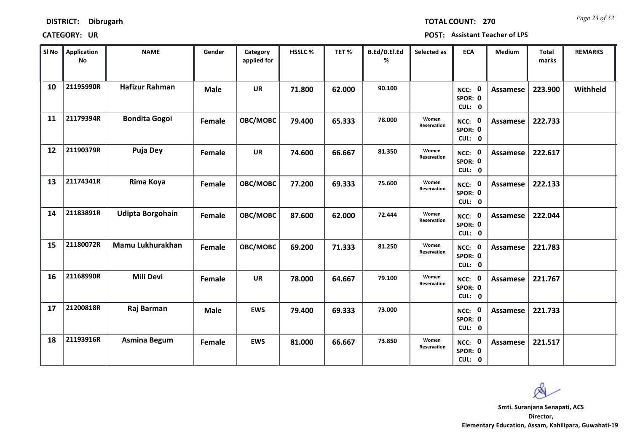*Page 23 of 52* **TOTAL COUNT: 270**

| SI No | <b>Application</b><br>No | <b>NAME</b>             | Gender      | Category<br>applied for | HSSLC % | TET %  | B.Ed/D.El.Ed<br>% | Selected as          | <b>ECA</b>                  | <b>Medium</b>   | <b>Total</b><br>marks | <b>REMARKS</b> |
|-------|--------------------------|-------------------------|-------------|-------------------------|---------|--------|-------------------|----------------------|-----------------------------|-----------------|-----------------------|----------------|
| 10    | 21195990R                | <b>Hafizur Rahman</b>   | <b>Male</b> | <b>UR</b>               | 71.800  | 62.000 | 90.100            |                      | NCC: 0<br>SPOR: 0<br>CUL: 0 | <b>Assamese</b> | 223.900               | Withheld       |
| 11    | 21179394R                | <b>Bondita Gogoi</b>    | Female      | OBC/MOBC                | 79.400  | 65.333 | 78.000            | Women<br>Reservation | NCC: 0<br>SPOR: 0<br>CUL: 0 | Assamese        | 222.733               |                |
| 12    | 21190379R                | Puja Dey                | Female      | <b>UR</b>               | 74.600  | 66.667 | 81.350            | Women<br>Reservation | NCC: 0<br>SPOR: 0<br>CUL: 0 | Assamese        | 222.617               |                |
| 13    | 21174341R                | Rima Koya               | Female      | OBC/MOBC                | 77.200  | 69.333 | 75.600            | Women<br>Reservation | NCC: 0<br>SPOR: 0<br>CUL: 0 | Assamese        | 222.133               |                |
| 14    | 21183891R                | <b>Udipta Borgohain</b> | Female      | OBC/MOBC                | 87.600  | 62.000 | 72.444            | Women<br>Reservation | NCC: 0<br>SPOR: 0<br>CUL: 0 | <b>Assamese</b> | 222.044               |                |
| 15    | 21180072R                | Mamu Lukhurakhan        | Female      | OBC/MOBC                | 69.200  | 71.333 | 81.250            | Women<br>Reservation | NCC: 0<br>SPOR: 0<br>CUL: 0 | <b>Assamese</b> | 221.783               |                |
| 16    | 21168990R                | <b>Mili Devi</b>        | Female      | <b>UR</b>               | 78.000  | 64.667 | 79.100            | Women<br>Reservation | NCC: 0<br>SPOR: 0<br>CUL: 0 | Assamese        | 221.767               |                |
| 17    | 21200818R                | Raj Barman              | <b>Male</b> | <b>EWS</b>              | 79.400  | 69.333 | 73.000            |                      | NCC: 0<br>SPOR: 0<br>CUL: 0 | <b>Assamese</b> | 221.733               |                |
| 18    | 21193916R                | <b>Asmina Begum</b>     | Female      | <b>EWS</b>              | 81.000  | 66.667 | 73.850            | Women<br>Reservation | NCC: 0<br>SPOR: 0<br>CUL: 0 | Assamese        | 221.517               |                |

 $\infty$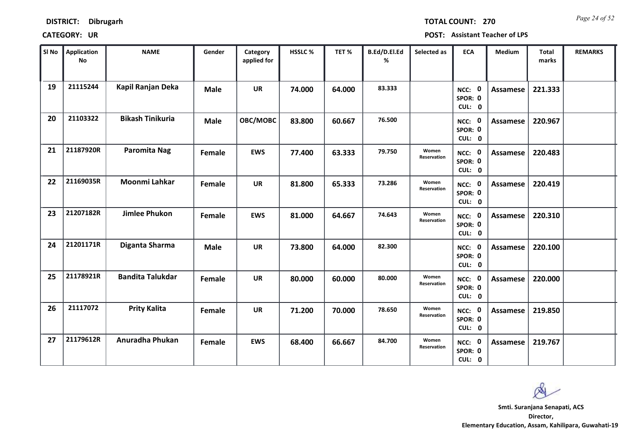*Page 24 of 52* **TOTAL COUNT: 270**

| SI No | <b>Application</b><br><b>No</b> | <b>NAME</b>             | Gender      | Category<br>applied for | HSSLC % | TET%   | B.Ed/D.El.Ed<br>% | Selected as          | <b>ECA</b>                  | Medium          | Total<br>marks | <b>REMARKS</b> |
|-------|---------------------------------|-------------------------|-------------|-------------------------|---------|--------|-------------------|----------------------|-----------------------------|-----------------|----------------|----------------|
| 19    | 21115244                        | Kapil Ranjan Deka       | <b>Male</b> | <b>UR</b>               | 74.000  | 64.000 | 83.333            |                      | NCC: 0<br>SPOR: 0<br>CUL: 0 | <b>Assamese</b> | 221.333        |                |
| 20    | 21103322                        | <b>Bikash Tinikuria</b> | <b>Male</b> | OBC/MOBC                | 83.800  | 60.667 | 76.500            |                      | NCC: 0<br>SPOR: 0<br>CUL: 0 | Assamese        | 220.967        |                |
| 21    | 21187920R                       | Paromita Nag            | Female      | <b>EWS</b>              | 77.400  | 63.333 | 79.750            | Women<br>Reservation | NCC: 0<br>SPOR: 0<br>CUL: 0 | Assamese        | 220.483        |                |
| 22    | 21169035R                       | Moonmi Lahkar           | Female      | UR                      | 81.800  | 65.333 | 73.286            | Women<br>Reservation | NCC: 0<br>SPOR: 0<br>CUL: 0 | <b>Assamese</b> | 220.419        |                |
| 23    | 21207182R                       | <b>Jimlee Phukon</b>    | Female      | <b>EWS</b>              | 81.000  | 64.667 | 74.643            | Women<br>Reservation | NCC: 0<br>SPOR: 0<br>CUL: 0 | <b>Assamese</b> | 220.310        |                |
| 24    | 21201171R                       | Diganta Sharma          | <b>Male</b> | <b>UR</b>               | 73.800  | 64.000 | 82.300            |                      | NCC: 0<br>SPOR: 0<br>CUL: 0 | <b>Assamese</b> | 220.100        |                |
| 25    | 21178921R                       | <b>Bandita Talukdar</b> | Female      | <b>UR</b>               | 80.000  | 60.000 | 80.000            | Women<br>Reservation | NCC: 0<br>SPOR: 0<br>CUL: 0 | Assamese        | 220.000        |                |
| 26    | 21117072                        | <b>Prity Kalita</b>     | Female      | <b>UR</b>               | 71.200  | 70.000 | 78.650            | Women<br>Reservation | NCC: 0<br>SPOR: 0<br>CUL: 0 | <b>Assamese</b> | 219.850        |                |
| 27    | 21179612R                       | Anuradha Phukan         | Female      | <b>EWS</b>              | 68.400  | 66.667 | 84.700            | Women<br>Reservation | NCC: 0<br>SPOR: 0<br>CUL: 0 | Assamese        | 219.767        |                |

os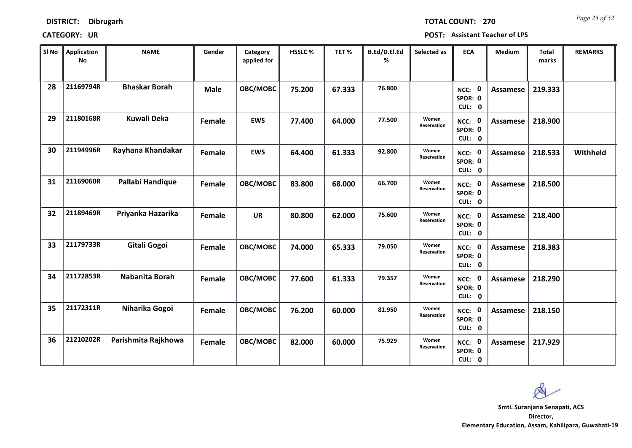| DISTRICT: | Dibrugarh |
|-----------|-----------|
|-----------|-----------|

*Page 25 of 52* **TOTAL COUNT: 270**

| SI No | <b>Application</b><br>No | <b>NAME</b>          | Gender      | Category<br>applied for | <b>HSSLC %</b> | TET %  | B.Ed/D.El.Ed<br>% | Selected as          | <b>ECA</b>                  | <b>Medium</b>   | <b>Total</b><br>marks | <b>REMARKS</b> |
|-------|--------------------------|----------------------|-------------|-------------------------|----------------|--------|-------------------|----------------------|-----------------------------|-----------------|-----------------------|----------------|
| 28    | 21169794R                | <b>Bhaskar Borah</b> | <b>Male</b> | OBC/MOBC                | 75.200         | 67.333 | 76.800            |                      | NCC: 0<br>SPOR: 0<br>CUL: 0 | <b>Assamese</b> | 219.333               |                |
| 29    | 21180168R                | <b>Kuwali Deka</b>   | Female      | <b>EWS</b>              | 77.400         | 64.000 | 77.500            | Women<br>Reservation | NCC: 0<br>SPOR: 0<br>CUL: 0 | Assamese        | 218.900               |                |
| 30    | 21194996R                | Rayhana Khandakar    | Female      | <b>EWS</b>              | 64.400         | 61.333 | 92.800            | Women<br>Reservation | NCC: 0<br>SPOR: 0<br>CUL: 0 | <b>Assamese</b> | 218.533               | Withheld       |
| 31    | 21169060R                | Pallabi Handique     | Female      | OBC/MOBC                | 83.800         | 68.000 | 66.700            | Women<br>Reservation | NCC: 0<br>SPOR: 0<br>CUL: 0 | Assamese        | 218.500               |                |
| 32    | 21189469R                | Priyanka Hazarika    | Female      | <b>UR</b>               | 80.800         | 62.000 | 75.600            | Women<br>Reservation | NCC: 0<br>SPOR: 0<br>CUL: 0 | <b>Assamese</b> | 218.400               |                |
| 33    | 21179733R                | Gitali Gogoi         | Female      | OBC/MOBC                | 74.000         | 65.333 | 79.050            | Women<br>Reservation | NCC: 0<br>SPOR: 0<br>CUL: 0 | <b>Assamese</b> | 218.383               |                |
| 34    | 21172853R                | Nabanita Borah       | Female      | OBC/MOBC                | 77.600         | 61.333 | 79.357            | Women<br>Reservation | NCC: 0<br>SPOR: 0<br>CUL: 0 | Assamese        | 218.290               |                |
| 35    | 21172311R                | Niharika Gogoi       | Female      | OBC/MOBC                | 76.200         | 60.000 | 81.950            | Women<br>Reservation | NCC: 0<br>SPOR: 0<br>CUL: 0 | <b>Assamese</b> | 218.150               |                |
| 36    | 21210202R                | Parishmita Rajkhowa  | Female      | OBC/MOBC                | 82.000         | 60.000 | 75.929            | Women<br>Reservation | NCC: 0<br>SPOR: 0<br>CUL: 0 | Assamese        | 217.929               |                |

 $\infty$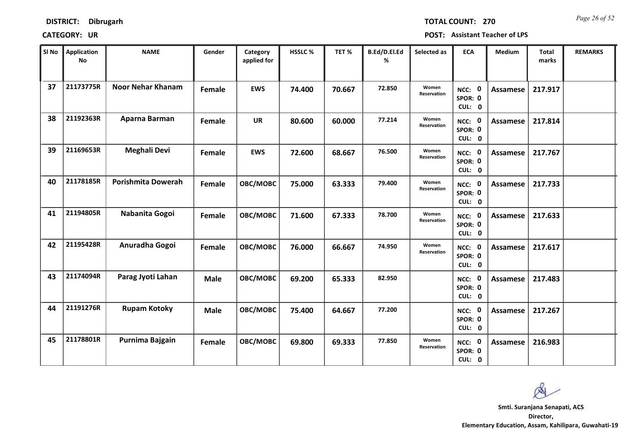*Page 26 of 52* **TOTAL COUNT: 270**

| SI No | <b>Application</b><br>No | <b>NAME</b>               | Gender      | Category<br>applied for | HSSLC % | TET %  | B.Ed/D.El.Ed<br>% | Selected as          | <b>ECA</b>                  | Medium          | Total<br>marks | <b>REMARKS</b> |
|-------|--------------------------|---------------------------|-------------|-------------------------|---------|--------|-------------------|----------------------|-----------------------------|-----------------|----------------|----------------|
| 37    | 21173775R                | <b>Noor Nehar Khanam</b>  | Female      | <b>EWS</b>              | 74.400  | 70.667 | 72.850            | Women<br>Reservation | NCC: 0<br>SPOR: 0<br>CUL: 0 | Assamese        | 217.917        |                |
| 38    | 21192363R                | Aparna Barman             | Female      | <b>UR</b>               | 80.600  | 60.000 | 77.214            | Women<br>Reservation | NCC: 0<br>SPOR: 0<br>CUL: 0 | Assamese        | 217.814        |                |
| 39    | 21169653R                | <b>Meghali Devi</b>       | Female      | <b>EWS</b>              | 72.600  | 68.667 | 76.500            | Women<br>Reservation | NCC: 0<br>SPOR: 0<br>CUL: 0 | <b>Assamese</b> | 217.767        |                |
| 40    | 21178185R                | <b>Porishmita Dowerah</b> | Female      | OBC/MOBC                | 75.000  | 63.333 | 79.400            | Women<br>Reservation | NCC: 0<br>SPOR: 0<br>CUL: 0 | Assamese        | 217.733        |                |
| 41    | 21194805R                | Nabanita Gogoi            | Female      | OBC/MOBC                | 71.600  | 67.333 | 78.700            | Women<br>Reservation | NCC: 0<br>SPOR: 0<br>CUL: 0 | <b>Assamese</b> | 217.633        |                |
| 42    | 21195428R                | Anuradha Gogoi            | Female      | OBC/MOBC                | 76.000  | 66.667 | 74.950            | Women<br>Reservation | NCC: 0<br>SPOR: 0<br>CUL: 0 | Assamese        | 217.617        |                |
| 43    | 21174094R                | Parag Jyoti Lahan         | <b>Male</b> | OBC/MOBC                | 69.200  | 65.333 | 82.950            |                      | NCC: 0<br>SPOR: 0<br>CUL: 0 | Assamese        | 217.483        |                |
| 44    | 21191276R                | <b>Rupam Kotoky</b>       | <b>Male</b> | OBC/MOBC                | 75.400  | 64.667 | 77.200            |                      | NCC: 0<br>SPOR: 0<br>CUL: 0 | <b>Assamese</b> | 217.267        |                |
| 45    | 21178801R                | Purnima Bajgain           | Female      | OBC/MOBC                | 69.800  | 69.333 | 77.850            | Women<br>Reservation | NCC: 0<br>SPOR: 0<br>CUL: 0 | Assamese        | 216.983        |                |

 $\infty$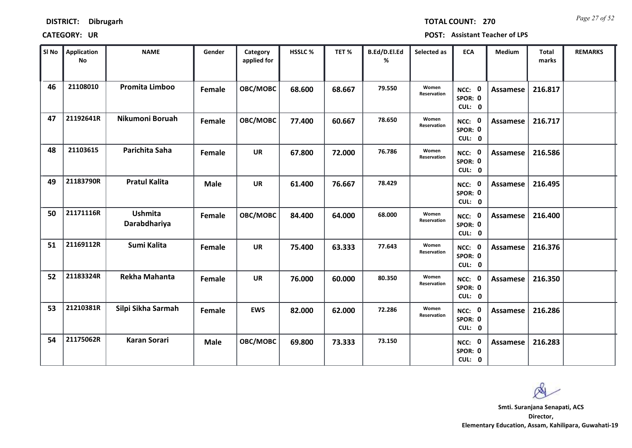*Page 27 of 52* **TOTAL COUNT: 270**

| SI No | <b>Application</b><br>No | <b>NAME</b>                    | Gender      | Category<br>applied for | <b>HSSLC %</b> | TET %  | B.Ed/D.El.Ed<br>% | Selected as          | <b>ECA</b>                               | <b>Medium</b>   | <b>Total</b><br>marks | <b>REMARKS</b> |
|-------|--------------------------|--------------------------------|-------------|-------------------------|----------------|--------|-------------------|----------------------|------------------------------------------|-----------------|-----------------------|----------------|
| 46    | 21108010                 | <b>Promita Limboo</b>          | Female      | OBC/MOBC                | 68.600         | 68.667 | 79.550            | Women<br>Reservation | NCC: 0<br>SPOR: 0<br>CUL: 0              | <b>Assamese</b> | 216.817               |                |
| 47    | 21192641R                | Nikumoni Boruah                | Female      | OBC/MOBC                | 77.400         | 60.667 | 78.650            | Women<br>Reservation | NCC: 0<br>SPOR: 0<br>CUL: 0              | Assamese        | 216.717               |                |
| 48    | 21103615                 | Parichita Saha                 | Female      | <b>UR</b>               | 67.800         | 72.000 | 76.786            | Women<br>Reservation | NCC: 0<br>SPOR: 0<br>CUL: 0              | Assamese        | 216.586               |                |
| 49    | 21183790R                | <b>Pratul Kalita</b>           | <b>Male</b> | <b>UR</b>               | 61.400         | 76.667 | 78.429            |                      | $\mathbf 0$<br>NCC:<br>SPOR: 0<br>CUL: 0 | Assamese        | 216.495               |                |
| 50    | 21171116R                | <b>Ushmita</b><br>Darabdhariya | Female      | OBC/MOBC                | 84.400         | 64.000 | 68.000            | Women<br>Reservation | NCC: 0<br>SPOR: 0<br>CUL: 0              | Assamese        | 216.400               |                |
| 51    | 21169112R                | Sumi Kalita                    | Female      | <b>UR</b>               | 75.400         | 63.333 | 77.643            | Women<br>Reservation | NCC: 0<br>SPOR: 0<br>CUL: 0              | <b>Assamese</b> | 216.376               |                |
| 52    | 21183324R                | <b>Rekha Mahanta</b>           | Female      | <b>UR</b>               | 76.000         | 60.000 | 80.350            | Women<br>Reservation | NCC: 0<br>SPOR: 0<br>CUL: 0              | Assamese        | 216.350               |                |
| 53    | 21210381R                | Silpi Sikha Sarmah             | Female      | <b>EWS</b>              | 82.000         | 62.000 | 72.286            | Women<br>Reservation | NCC: 0<br>SPOR: 0<br>CUL: 0              | <b>Assamese</b> | 216.286               |                |
| 54    | 21175062R                | <b>Karan Sorari</b>            | <b>Male</b> | OBC/MOBC                | 69.800         | 73.333 | 73.150            |                      | NCC: 0<br>SPOR: 0<br>CUL: 0              | <b>Assamese</b> | 216.283               |                |

 $\infty$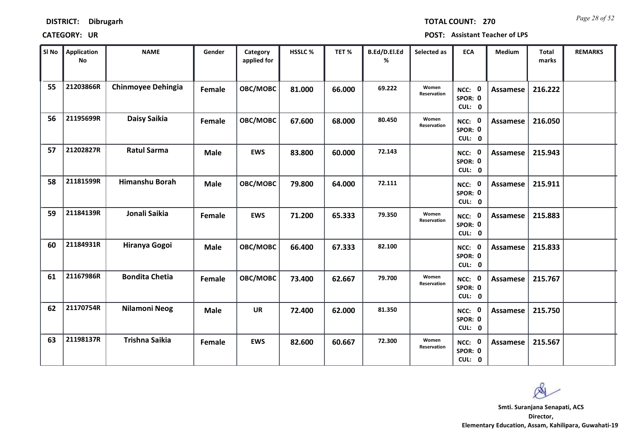*Page 28 of 52* **TOTAL COUNT: 270**

| SI No | <b>Application</b><br>No | <b>NAME</b>               | Gender      | Category<br>applied for | <b>HSSLC %</b> | TET%   | B.Ed/D.El.Ed<br>% | Selected as          | <b>ECA</b>                  | <b>Medium</b>   | <b>Total</b><br>marks | <b>REMARKS</b> |
|-------|--------------------------|---------------------------|-------------|-------------------------|----------------|--------|-------------------|----------------------|-----------------------------|-----------------|-----------------------|----------------|
| 55    | 21203866R                | <b>Chinmoyee Dehingia</b> | Female      | OBC/MOBC                | 81.000         | 66.000 | 69.222            | Women<br>Reservation | NCC: 0<br>SPOR: 0<br>CUL: 0 | Assamese        | 216.222               |                |
| 56    | 21195699R                | Daisy Saikia              | Female      | OBC/MOBC                | 67.600         | 68.000 | 80.450            | Women<br>Reservation | NCC: 0<br>SPOR: 0<br>CUL: 0 | Assamese        | 216.050               |                |
| 57    | 21202827R                | <b>Ratul Sarma</b>        | <b>Male</b> | <b>EWS</b>              | 83.800         | 60.000 | 72.143            |                      | NCC: 0<br>SPOR: 0<br>CUL: 0 | Assamese        | 215.943               |                |
| 58    | 21181599R                | <b>Himanshu Borah</b>     | <b>Male</b> | OBC/MOBC                | 79.800         | 64.000 | 72.111            |                      | NCC: 0<br>SPOR: 0<br>CUL: 0 | Assamese        | 215.911               |                |
| 59    | 21184139R                | Jonali Saikia             | Female      | <b>EWS</b>              | 71.200         | 65.333 | 79.350            | Women<br>Reservation | NCC: 0<br>SPOR: 0<br>CUL: 0 | Assamese        | 215.883               |                |
| 60    | 21184931R                | Hiranya Gogoi             | <b>Male</b> | OBC/MOBC                | 66.400         | 67.333 | 82.100            |                      | NCC: 0<br>SPOR: 0<br>CUL: 0 | Assamese        | 215.833               |                |
| 61    | 21167986R                | <b>Bondita Chetia</b>     | Female      | OBC/MOBC                | 73.400         | 62.667 | 79.700            | Women<br>Reservation | NCC: 0<br>SPOR: 0<br>CUL: 0 | Assamese        | 215.767               |                |
| 62    | 21170754R                | <b>Nilamoni Neog</b>      | <b>Male</b> | <b>UR</b>               | 72.400         | 62.000 | 81.350            |                      | NCC: 0<br>SPOR: 0<br>CUL: 0 | <b>Assamese</b> | 215.750               |                |
| 63    | 21198137R                | <b>Trishna Saikia</b>     | Female      | <b>EWS</b>              | 82.600         | 60.667 | 72.300            | Women<br>Reservation | NCC: 0<br>SPOR: 0<br>CUL: 0 | Assamese        | 215.567               |                |

 $\infty$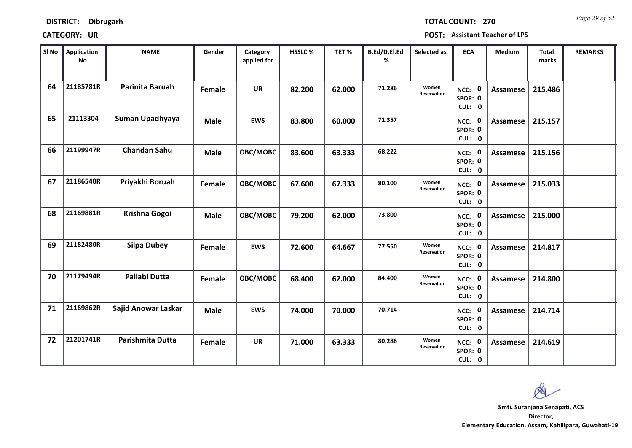| <b>DISTRICT:</b> | <b>Dibrugarh</b> |
|------------------|------------------|
|------------------|------------------|

*Page 29 of 52* **TOTAL COUNT: 270**

| SI No | <b>Application</b><br>No | <b>NAME</b>          | Gender      | Category<br>applied for | HSSLC% | TET%   | B.Ed/D.El.Ed<br>% | Selected as          | <b>ECA</b>                  | Medium          | Total<br>marks | <b>REMARKS</b> |
|-------|--------------------------|----------------------|-------------|-------------------------|--------|--------|-------------------|----------------------|-----------------------------|-----------------|----------------|----------------|
| 64    | 21185781R                | Parinita Baruah      | Female      | <b>UR</b>               | 82.200 | 62.000 | 71.286            | Women<br>Reservation | NCC: 0<br>SPOR: 0<br>CUL: 0 | Assamese        | 215.486        |                |
| 65    | 21113304                 | Suman Upadhyaya      | <b>Male</b> | <b>EWS</b>              | 83.800 | 60.000 | 71.357            |                      | NCC: 0<br>SPOR: 0<br>CUL: 0 | Assamese        | 215.157        |                |
| 66    | 21199947R                | <b>Chandan Sahu</b>  | <b>Male</b> | OBC/MOBC                | 83.600 | 63.333 | 68.222            |                      | NCC: 0<br>SPOR: 0<br>CUL: 0 | <b>Assamese</b> | 215.156        |                |
| 67    | 21186540R                | Priyakhi Boruah      | Female      | OBC/MOBC                | 67.600 | 67.333 | 80.100            | Women<br>Reservation | NCC: 0<br>SPOR: 0<br>CUL: 0 | Assamese        | 215.033        |                |
| 68    | 21169881R                | Krishna Gogoi        | <b>Male</b> | OBC/MOBC                | 79.200 | 62.000 | 73.800            |                      | NCC: 0<br>SPOR: 0<br>CUL: 0 | <b>Assamese</b> | 215.000        |                |
| 69    | 21182480R                | <b>Silpa Dubey</b>   | Female      | <b>EWS</b>              | 72.600 | 64.667 | 77.550            | Women<br>Reservation | NCC: 0<br>SPOR: 0<br>CUL: 0 | <b>Assamese</b> | 214.817        |                |
| 70    | 21179494R                | <b>Pallabi Dutta</b> | Female      | OBC/MOBC                | 68.400 | 62.000 | 84.400            | Women<br>Reservation | NCC: 0<br>SPOR: 0<br>CUL: 0 | <b>Assamese</b> | 214.800        |                |
| 71    | 21169862R                | Sajid Anowar Laskar  | <b>Male</b> | <b>EWS</b>              | 74.000 | 70.000 | 70.714            |                      | NCC: 0<br>SPOR: 0<br>CUL: 0 | <b>Assamese</b> | 214.714        |                |
| 72    | 21201741R                | Parishmita Dutta     | Female      | <b>UR</b>               | 71.000 | 63.333 | 80.286            | Women<br>Reservation | NCC: 0<br>SPOR: 0<br>CUL: 0 | Assamese        | 214.619        |                |

 $\infty$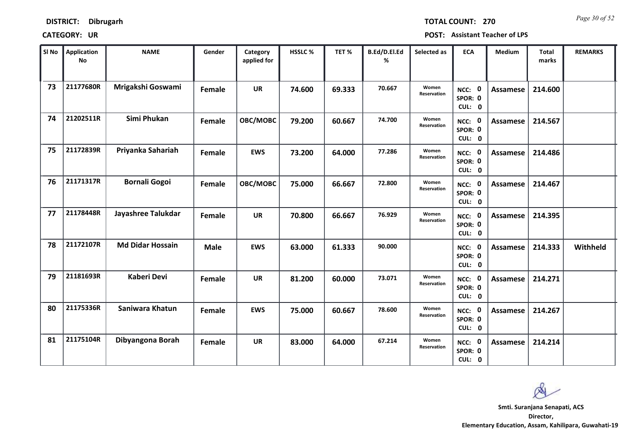*Page 30 of 52* **TOTAL COUNT: 270**

| SI No | <b>Application</b><br>No | <b>NAME</b>             | Gender      | Category<br>applied for | HSSLC % | TET%   | B.Ed/D.El.Ed<br>% | Selected as          | <b>ECA</b>                  | Medium          | Total<br>marks | <b>REMARKS</b> |
|-------|--------------------------|-------------------------|-------------|-------------------------|---------|--------|-------------------|----------------------|-----------------------------|-----------------|----------------|----------------|
| 73    | 21177680R                | Mrigakshi Goswami       | Female      | <b>UR</b>               | 74.600  | 69.333 | 70.667            | Women<br>Reservation | NCC: 0<br>SPOR: 0<br>CUL: 0 | Assamese        | 214.600        |                |
| 74    | 21202511R                | Simi Phukan             | Female      | OBC/MOBC                | 79.200  | 60.667 | 74.700            | Women<br>Reservation | NCC: 0<br>SPOR: 0<br>CUL: 0 | Assamese        | 214.567        |                |
| 75    | 21172839R                | Priyanka Sahariah       | Female      | <b>EWS</b>              | 73.200  | 64.000 | 77.286            | Women<br>Reservation | NCC: 0<br>SPOR: 0<br>CUL: 0 | <b>Assamese</b> | 214.486        |                |
| 76    | 21171317R                | <b>Bornali Gogoi</b>    | Female      | OBC/MOBC                | 75.000  | 66.667 | 72.800            | Women<br>Reservation | NCC: 0<br>SPOR: 0<br>CUL: 0 | Assamese        | 214.467        |                |
| 77    | 21178448R                | Jayashree Talukdar      | Female      | <b>UR</b>               | 70.800  | 66.667 | 76.929            | Women<br>Reservation | NCC: 0<br>SPOR: 0<br>CUL: 0 | <b>Assamese</b> | 214.395        |                |
| 78    | 21172107R                | <b>Md Didar Hossain</b> | <b>Male</b> | <b>EWS</b>              | 63.000  | 61.333 | 90.000            |                      | NCC: 0<br>SPOR: 0<br>CUL: 0 | <b>Assamese</b> | 214.333        | Withheld       |
| 79    | 21181693R                | <b>Kaberi Devi</b>      | Female      | UR                      | 81.200  | 60.000 | 73.071            | Women<br>Reservation | NCC: 0<br>SPOR: 0<br>CUL: 0 | Assamese        | 214.271        |                |
| 80    | 21175336R                | Saniwara Khatun         | Female      | <b>EWS</b>              | 75.000  | 60.667 | 78.600            | Women<br>Reservation | NCC: 0<br>SPOR: 0<br>CUL: 0 | <b>Assamese</b> | 214.267        |                |
| 81    | 21175104R                | Dibyangona Borah        | Female      | <b>UR</b>               | 83.000  | 64.000 | 67.214            | Women<br>Reservation | NCC: 0<br>SPOR: 0<br>CUL: 0 | Assamese        | 214.214        |                |

 $\infty$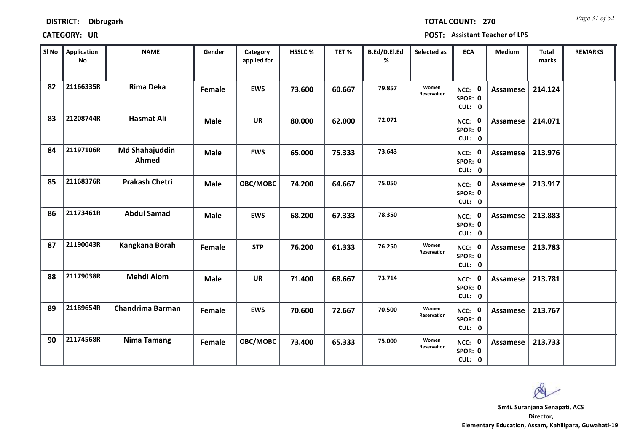| <b>DISTRICT:</b> | Dibrugarh |
|------------------|-----------|
|------------------|-----------|

*Page 31 of 52* **TOTAL COUNT: 270**

| SI No | <b>Application</b><br>No | <b>NAME</b>                    | Gender      | Category<br>applied for | <b>HSSLC %</b> | TET %  | B.Ed/D.El.Ed<br>% | Selected as          | <b>ECA</b>                  | <b>Medium</b>   | <b>Total</b><br>marks | <b>REMARKS</b> |
|-------|--------------------------|--------------------------------|-------------|-------------------------|----------------|--------|-------------------|----------------------|-----------------------------|-----------------|-----------------------|----------------|
| 82    | 21166335R                | <b>Rima Deka</b>               | Female      | <b>EWS</b>              | 73.600         | 60.667 | 79.857            | Women<br>Reservation | NCC: 0<br>SPOR: 0<br>CUL: 0 | <b>Assamese</b> | 214.124               |                |
| 83    | 21208744R                | <b>Hasmat Ali</b>              | <b>Male</b> | <b>UR</b>               | 80.000         | 62.000 | 72.071            |                      | NCC: 0<br>SPOR: 0<br>CUL: 0 | Assamese        | 214.071               |                |
| 84    | 21197106R                | <b>Md Shahajuddin</b><br>Ahmed | <b>Male</b> | <b>EWS</b>              | 65.000         | 75.333 | 73.643            |                      | NCC: 0<br>SPOR: 0<br>CUL: 0 | Assamese        | 213.976               |                |
| 85    | 21168376R                | <b>Prakash Chetri</b>          | <b>Male</b> | OBC/MOBC                | 74.200         | 64.667 | 75.050            |                      | NCC: 0<br>SPOR: 0<br>CUL: 0 | Assamese        | 213.917               |                |
| 86    | 21173461R                | <b>Abdul Samad</b>             | <b>Male</b> | <b>EWS</b>              | 68.200         | 67.333 | 78.350            |                      | NCC: 0<br>SPOR: 0<br>CUL: 0 | Assamese        | 213.883               |                |
| 87    | 21190043R                | Kangkana Borah                 | Female      | <b>STP</b>              | 76.200         | 61.333 | 76.250            | Women<br>Reservation | NCC: 0<br>SPOR: 0<br>CUL: 0 | Assamese        | 213.783               |                |
| 88    | 21179038R                | <b>Mehdi Alom</b>              | <b>Male</b> | <b>UR</b>               | 71.400         | 68.667 | 73.714            |                      | NCC: 0<br>SPOR: 0<br>CUL: 0 | Assamese        | 213.781               |                |
| 89    | 21189654R                | <b>Chandrima Barman</b>        | Female      | <b>EWS</b>              | 70.600         | 72.667 | 70.500            | Women<br>Reservation | NCC: 0<br>SPOR: 0<br>CUL: 0 | <b>Assamese</b> | 213.767               |                |
| 90    | 21174568R                | <b>Nima Tamang</b>             | Female      | OBC/MOBC                | 73.400         | 65.333 | 75.000            | Women<br>Reservation | NCC: 0<br>SPOR: 0<br>CUL: 0 | Assamese        | 213.733               |                |

 $\infty$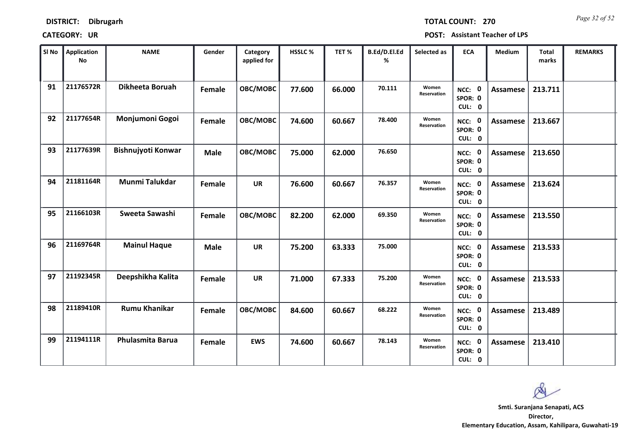| <b>DISTRICT:</b> | <b>Dibrugarh</b> |
|------------------|------------------|
|------------------|------------------|

*Page 32 of 52* **TOTAL COUNT: 270**

| SI No | <b>Application</b><br>No | <b>NAME</b>          | Gender      | Category<br>applied for | <b>HSSLC %</b> | TET %  | B.Ed/D.El.Ed<br>% | Selected as          | <b>ECA</b>                  | <b>Medium</b>   | <b>Total</b><br>marks | <b>REMARKS</b> |
|-------|--------------------------|----------------------|-------------|-------------------------|----------------|--------|-------------------|----------------------|-----------------------------|-----------------|-----------------------|----------------|
| 91    | 21176572R                | Dikheeta Boruah      | Female      | OBC/MOBC                | 77.600         | 66.000 | 70.111            | Women<br>Reservation | NCC: 0<br>SPOR: 0<br>CUL: 0 | <b>Assamese</b> | 213.711               |                |
| 92    | 21177654R                | Monjumoni Gogoi      | Female      | OBC/MOBC                | 74.600         | 60.667 | 78.400            | Women<br>Reservation | NCC: 0<br>SPOR: 0<br>CUL: 0 | Assamese        | 213.667               |                |
| 93    | 21177639R                | Bishnujyoti Konwar   | <b>Male</b> | OBC/MOBC                | 75.000         | 62.000 | 76.650            |                      | NCC: 0<br>SPOR: 0<br>CUL: 0 | <b>Assamese</b> | 213.650               |                |
| 94    | 21181164R                | Munmi Talukdar       | Female      | <b>UR</b>               | 76.600         | 60.667 | 76.357            | Women<br>Reservation | NCC: 0<br>SPOR: 0<br>CUL: 0 | Assamese        | 213.624               |                |
| 95    | 21166103R                | Sweeta Sawashi       | Female      | OBC/MOBC                | 82.200         | 62.000 | 69.350            | Women<br>Reservation | NCC: 0<br>SPOR: 0<br>CUL: 0 | Assamese        | 213.550               |                |
| 96    | 21169764R                | <b>Mainul Haque</b>  | <b>Male</b> | <b>UR</b>               | 75.200         | 63.333 | 75.000            |                      | NCC: 0<br>SPOR: 0<br>CUL: 0 | Assamese        | 213.533               |                |
| 97    | 21192345R                | Deepshikha Kalita    | Female      | <b>UR</b>               | 71.000         | 67.333 | 75.200            | Women<br>Reservation | NCC: 0<br>SPOR: 0<br>CUL: 0 | Assamese        | 213.533               |                |
| 98    | 21189410R                | <b>Rumu Khanikar</b> | Female      | OBC/MOBC                | 84.600         | 60.667 | 68.222            | Women<br>Reservation | NCC: 0<br>SPOR: 0<br>CUL: 0 | <b>Assamese</b> | 213.489               |                |
| 99    | 21194111R                | Phulasmita Barua     | Female      | <b>EWS</b>              | 74.600         | 60.667 | 78.143            | Women<br>Reservation | NCC: 0<br>SPOR: 0<br>CUL: 0 | Assamese        | 213.410               |                |

 $\infty$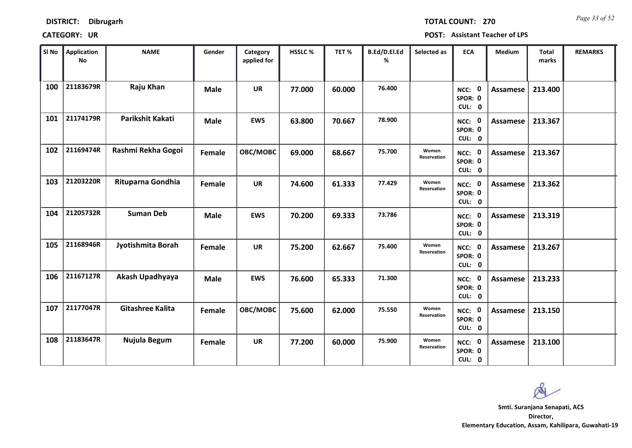*Page 33 of 52* **TOTAL COUNT: 270**

| SI No | <b>Application</b><br>No | <b>NAME</b>        | Gender      | Category<br>applied for | HSSLC % | TET%   | B.Ed/D.El.Ed<br>% | Selected as          | <b>ECA</b>                  | <b>Medium</b>   | <b>Total</b><br>marks | <b>REMARKS</b> |
|-------|--------------------------|--------------------|-------------|-------------------------|---------|--------|-------------------|----------------------|-----------------------------|-----------------|-----------------------|----------------|
| 100   | 21183679R                | Raju Khan          | <b>Male</b> | <b>UR</b>               | 77.000  | 60.000 | 76.400            |                      | NCC: 0<br>SPOR: 0<br>CUL: 0 | <b>Assamese</b> | 213.400               |                |
| 101   | 21174179R                | Parikshit Kakati   | <b>Male</b> | <b>EWS</b>              | 63.800  | 70.667 | 78.900            |                      | NCC: 0<br>SPOR: 0<br>CUL: 0 | Assamese        | 213.367               |                |
| 102   | 21169474R                | Rashmi Rekha Gogoi | Female      | OBC/MOBC                | 69.000  | 68.667 | 75.700            | Women<br>Reservation | NCC: 0<br>SPOR: 0<br>CUL: 0 | Assamese        | 213.367               |                |
| 103   | 21203220R                | Rituparna Gondhia  | Female      | <b>UR</b>               | 74.600  | 61.333 | 77.429            | Women<br>Reservation | NCC: 0<br>SPOR: 0<br>CUL: 0 | Assamese        | 213.362               |                |
| 104   | 21205732R                | <b>Suman Deb</b>   | <b>Male</b> | <b>EWS</b>              | 70.200  | 69.333 | 73.786            |                      | NCC: 0<br>SPOR: 0<br>CUL: 0 | Assamese        | 213.319               |                |
| 105   | 21168946R                | Jyotishmita Borah  | Female      | <b>UR</b>               | 75.200  | 62.667 | 75.400            | Women<br>Reservation | NCC: 0<br>SPOR: 0<br>CUL: 0 | Assamese        | 213.267               |                |
| 106   | 21167127R                | Akash Upadhyaya    | <b>Male</b> | <b>EWS</b>              | 76.600  | 65.333 | 71.300            |                      | NCC: 0<br>SPOR: 0<br>CUL: 0 | Assamese        | 213.233               |                |
| 107   | 21177047R                | Gitashree Kalita   | Female      | OBC/MOBC                | 75.600  | 62.000 | 75.550            | Women<br>Reservation | NCC: 0<br>SPOR: 0<br>CUL: 0 | <b>Assamese</b> | 213.150               |                |
| 108   | 21183647R                | Nujula Begum       | Female      | <b>UR</b>               | 77.200  | 60.000 | 75.900            | Women<br>Reservation | NCC: 0<br>SPOR: 0<br>CUL: 0 | Assamese        | 213.100               |                |

 $\infty$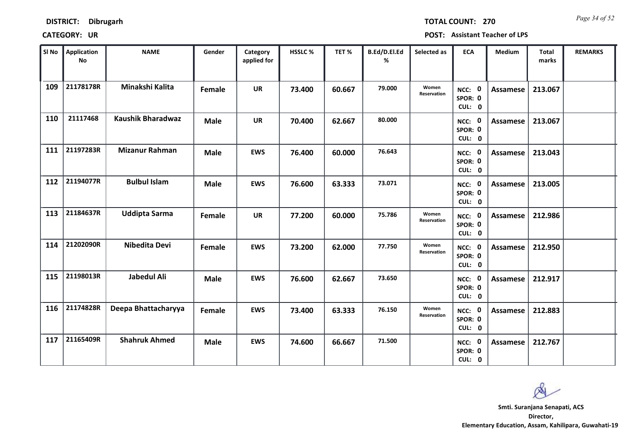| <b>DISTRICT:</b> | <b>Dibrugarh</b> |
|------------------|------------------|
|------------------|------------------|

*Page 34 of 52* **TOTAL COUNT: 270**

| SI No | <b>Application</b><br>No | <b>NAME</b>              | Gender      | Category<br>applied for | HSSLC % | TET%   | B.Ed/D.El.Ed<br>% | Selected as          | <b>ECA</b>                  | Medium          | Total<br>marks | <b>REMARKS</b> |
|-------|--------------------------|--------------------------|-------------|-------------------------|---------|--------|-------------------|----------------------|-----------------------------|-----------------|----------------|----------------|
| 109   | 21178178R                | Minakshi Kalita          | Female      | <b>UR</b>               | 73.400  | 60.667 | 79.000            | Women<br>Reservation | NCC: 0<br>SPOR: 0<br>CUL: 0 | Assamese        | 213.067        |                |
| 110   | 21117468                 | <b>Kaushik Bharadwaz</b> | <b>Male</b> | <b>UR</b>               | 70.400  | 62.667 | 80.000            |                      | NCC: 0<br>SPOR: 0<br>CUL: 0 | Assamese        | 213.067        |                |
| 111   | 21197283R                | <b>Mizanur Rahman</b>    | <b>Male</b> | <b>EWS</b>              | 76.400  | 60.000 | 76.643            |                      | NCC: 0<br>SPOR: 0<br>CUL: 0 | Assamese        | 213.043        |                |
| 112   | 21194077R                | <b>Bulbul Islam</b>      | <b>Male</b> | <b>EWS</b>              | 76.600  | 63.333 | 73.071            |                      | NCC: 0<br>SPOR: 0<br>CUL: 0 | <b>Assamese</b> | 213.005        |                |
| 113   | 21184637R                | <b>Uddipta Sarma</b>     | Female      | <b>UR</b>               | 77.200  | 60.000 | 75.786            | Women<br>Reservation | NCC: 0<br>SPOR: 0<br>CUL: 0 | <b>Assamese</b> | 212.986        |                |
| 114   | 21202090R                | <b>Nibedita Devi</b>     | Female      | <b>EWS</b>              | 73.200  | 62.000 | 77.750            | Women<br>Reservation | NCC: 0<br>SPOR: 0<br>CUL: 0 | Assamese        | 212.950        |                |
| 115   | 21198013R                | Jabedul Ali              | <b>Male</b> | <b>EWS</b>              | 76.600  | 62.667 | 73.650            |                      | NCC: 0<br>SPOR: 0<br>CUL: 0 | Assamese        | 212.917        |                |
| 116   | 21174828R                | Deepa Bhattacharyya      | Female      | <b>EWS</b>              | 73.400  | 63.333 | 76.150            | Women<br>Reservation | NCC: 0<br>SPOR: 0<br>CUL: 0 | <b>Assamese</b> | 212.883        |                |
| 117   | 21165409R                | <b>Shahruk Ahmed</b>     | <b>Male</b> | <b>EWS</b>              | 74.600  | 66.667 | 71.500            |                      | NCC: 0<br>SPOR: 0<br>CUL: 0 | Assamese        | 212.767        |                |

 $\infty$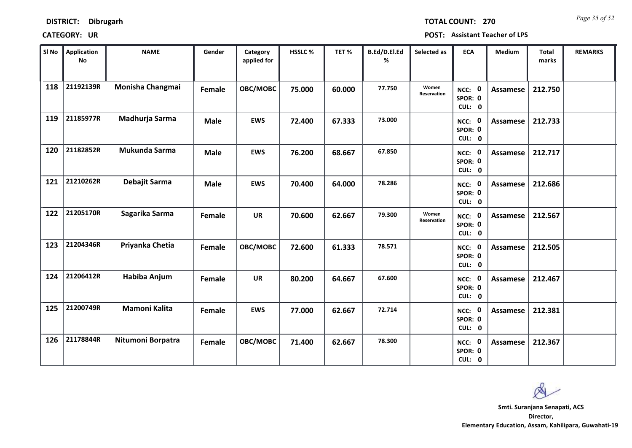*Page 35 of 52* **TOTAL COUNT: 270**

| SI No | <b>Application</b><br><b>No</b> | <b>NAME</b>          | Gender      | Category<br>applied for | HSSLC % | TET%   | B.Ed/D.El.Ed<br>% | Selected as          | <b>ECA</b>                  | <b>Medium</b>   | <b>Total</b><br>marks | <b>REMARKS</b> |
|-------|---------------------------------|----------------------|-------------|-------------------------|---------|--------|-------------------|----------------------|-----------------------------|-----------------|-----------------------|----------------|
| 118   | 21192139R                       | Monisha Changmai     | Female      | OBC/MOBC                | 75.000  | 60.000 | 77.750            | Women<br>Reservation | NCC: 0<br>SPOR: 0<br>CUL: 0 | <b>Assamese</b> | 212.750               |                |
| 119   | 21185977R                       | Madhurja Sarma       | <b>Male</b> | <b>EWS</b>              | 72.400  | 67.333 | 73.000            |                      | NCC: 0<br>SPOR: 0<br>CUL: 0 | Assamese        | 212.733               |                |
| 120   | 21182852R                       | Mukunda Sarma        | <b>Male</b> | <b>EWS</b>              | 76.200  | 68.667 | 67.850            |                      | NCC: 0<br>SPOR: 0<br>CUL: 0 | Assamese        | 212.717               |                |
| 121   | 21210262R                       | Debajit Sarma        | <b>Male</b> | <b>EWS</b>              | 70.400  | 64.000 | 78.286            |                      | NCC: 0<br>SPOR: 0<br>CUL: 0 | Assamese        | 212.686               |                |
| 122   | 21205170R                       | Sagarika Sarma       | Female      | <b>UR</b>               | 70.600  | 62.667 | 79.300            | Women<br>Reservation | NCC: 0<br>SPOR: 0<br>CUL: 0 | Assamese        | 212.567               |                |
| 123   | 21204346R                       | Priyanka Chetia      | Female      | OBC/MOBC                | 72.600  | 61.333 | 78.571            |                      | NCC: 0<br>SPOR: 0<br>CUL: 0 | Assamese        | 212.505               |                |
| 124   | 21206412R                       | Habiba Anjum         | Female      | <b>UR</b>               | 80.200  | 64.667 | 67.600            |                      | NCC: 0<br>SPOR: 0<br>CUL: 0 | Assamese        | 212.467               |                |
| 125   | 21200749R                       | <b>Mamoni Kalita</b> | Female      | <b>EWS</b>              | 77.000  | 62.667 | 72.714            |                      | NCC: 0<br>SPOR: 0<br>CUL: 0 | <b>Assamese</b> | 212.381               |                |
| 126   | 21178844R                       | Nitumoni Borpatra    | Female      | OBC/MOBC                | 71.400  | 62.667 | 78.300            |                      | NCC: 0<br>SPOR: 0<br>CUL: 0 | Assamese        | 212.367               |                |

 $\infty$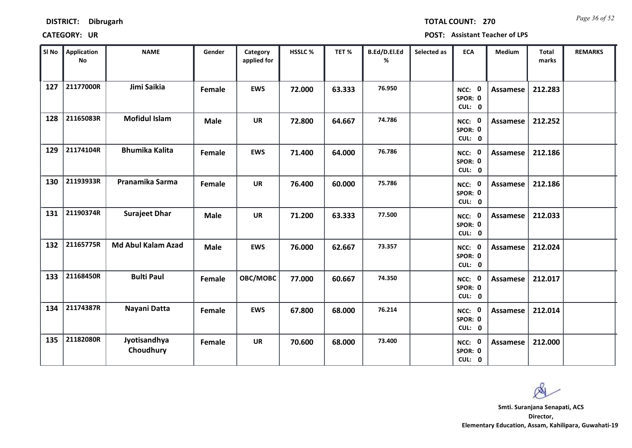| <b>DISTRICT:</b> | <b>Dibrugarh</b> |
|------------------|------------------|
|------------------|------------------|

*Page 36 of 52* **TOTAL COUNT: 270**

| SI No | <b>Application</b><br>No | <b>NAME</b>               | Gender      | Category<br>applied for | HSSLC % | TET%   | B.Ed/D.El.Ed<br>% | Selected as | <b>ECA</b>                                | <b>Medium</b>   | <b>Total</b><br>marks | <b>REMARKS</b> |
|-------|--------------------------|---------------------------|-------------|-------------------------|---------|--------|-------------------|-------------|-------------------------------------------|-----------------|-----------------------|----------------|
| 127   | 21177000R                | Jimi Saikia               | Female      | <b>EWS</b>              | 72.000  | 63.333 | 76.950            |             | NCC: 0<br>SPOR: 0<br>CUL: 0               | <b>Assamese</b> | 212.283               |                |
| 128   | 21165083R                | <b>Mofidul Islam</b>      | <b>Male</b> | <b>UR</b>               | 72.800  | 64.667 | 74.786            |             | NCC: 0<br>SPOR: 0<br>CUL: 0               | Assamese        | 212.252               |                |
| 129   | 21174104R                | <b>Bhumika Kalita</b>     | Female      | <b>EWS</b>              | 71.400  | 64.000 | 76.786            |             | NCC: 0<br>SPOR: 0<br>CUL: 0               | Assamese        | 212.186               |                |
| 130   | 21193933R                | Pranamika Sarma           | Female      | <b>UR</b>               | 76.400  | 60.000 | 75.786            |             | $\mathbf{0}$<br>NCC:<br>SPOR: 0<br>CUL: 0 | Assamese        | 212.186               |                |
| 131   | 21190374R                | <b>Surajeet Dhar</b>      | <b>Male</b> | <b>UR</b>               | 71.200  | 63.333 | 77.500            |             | NCC: 0<br>SPOR: 0<br>CUL: 0               | Assamese        | 212.033               |                |
| 132   | 21165775R                | <b>Md Abul Kalam Azad</b> | <b>Male</b> | <b>EWS</b>              | 76.000  | 62.667 | 73.357            |             | NCC: 0<br>SPOR: 0<br>CUL: 0               | <b>Assamese</b> | 212.024               |                |
| 133   | 21168450R                | <b>Bulti Paul</b>         | Female      | OBC/MOBC                | 77.000  | 60.667 | 74.350            |             | NCC: 0<br>SPOR: 0<br>CUL: 0               | Assamese        | 212.017               |                |
| 134   | 21174387R                | Nayani Datta              | Female      | <b>EWS</b>              | 67.800  | 68.000 | 76.214            |             | NCC: 0<br>SPOR: 0<br>CUL: 0               | <b>Assamese</b> | 212.014               |                |
| 135   | 21182080R                | Jyotisandhya<br>Choudhury | Female      | <b>UR</b>               | 70.600  | 68.000 | 73.400            |             | NCC: 0<br>SPOR: 0<br>CUL: 0               | Assamese        | 212.000               |                |

 $\infty$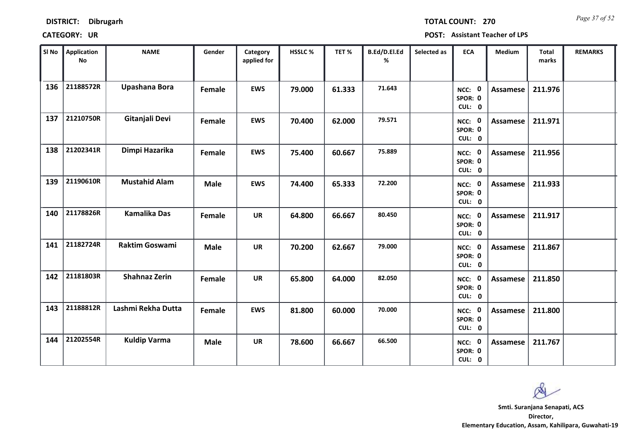| <b>DISTRICT:</b> | <b>Dibrugarh</b> |
|------------------|------------------|
|------------------|------------------|

*Page 37 of 52* **TOTAL COUNT: 270**

| SI No | <b>Application</b><br><b>No</b> | <b>NAME</b>           | Gender      | Category<br>applied for | HSSLC% | TET%   | B.Ed/D.El.Ed<br>% | Selected as | <b>ECA</b>                  | Medium          | Total<br>marks | <b>REMARKS</b> |
|-------|---------------------------------|-----------------------|-------------|-------------------------|--------|--------|-------------------|-------------|-----------------------------|-----------------|----------------|----------------|
| 136   | 21188572R                       | Upashana Bora         | Female      | <b>EWS</b>              | 79.000 | 61.333 | 71.643            |             | NCC: 0<br>SPOR: 0<br>CUL: 0 | <b>Assamese</b> | 211.976        |                |
| 137   | 21210750R                       | Gitanjali Devi        | Female      | <b>EWS</b>              | 70.400 | 62.000 | 79.571            |             | NCC: 0<br>SPOR: 0<br>CUL: 0 | Assamese        | 211.971        |                |
| 138   | 21202341R                       | Dimpi Hazarika        | Female      | <b>EWS</b>              | 75.400 | 60.667 | 75.889            |             | NCC: 0<br>SPOR: 0<br>CUL: 0 | <b>Assamese</b> | 211.956        |                |
| 139   | 21190610R                       | <b>Mustahid Alam</b>  | <b>Male</b> | <b>EWS</b>              | 74.400 | 65.333 | 72.200            |             | NCC: 0<br>SPOR: 0<br>CUL: 0 | <b>Assamese</b> | 211.933        |                |
| 140   | 21178826R                       | <b>Kamalika Das</b>   | Female      | <b>UR</b>               | 64.800 | 66.667 | 80.450            |             | NCC: 0<br>SPOR: 0<br>CUL: 0 | <b>Assamese</b> | 211.917        |                |
| 141   | 21182724R                       | <b>Raktim Goswami</b> | <b>Male</b> | <b>UR</b>               | 70.200 | 62.667 | 79.000            |             | NCC: 0<br>SPOR: 0<br>CUL: 0 | Assamese        | 211.867        |                |
| 142   | 21181803R                       | <b>Shahnaz Zerin</b>  | Female      | <b>UR</b>               | 65.800 | 64.000 | 82.050            |             | NCC: 0<br>SPOR: 0<br>CUL: 0 | Assamese        | 211.850        |                |
| 143   | 21188812R                       | Lashmi Rekha Dutta    | Female      | <b>EWS</b>              | 81.800 | 60.000 | 70.000            |             | NCC: 0<br>SPOR: 0<br>CUL: 0 | Assamese        | 211.800        |                |
| 144   | 21202554R                       | <b>Kuldip Varma</b>   | <b>Male</b> | <b>UR</b>               | 78.600 | 66.667 | 66.500            |             | NCC: 0<br>SPOR: 0<br>CUL: 0 | Assamese        | 211.767        |                |

Q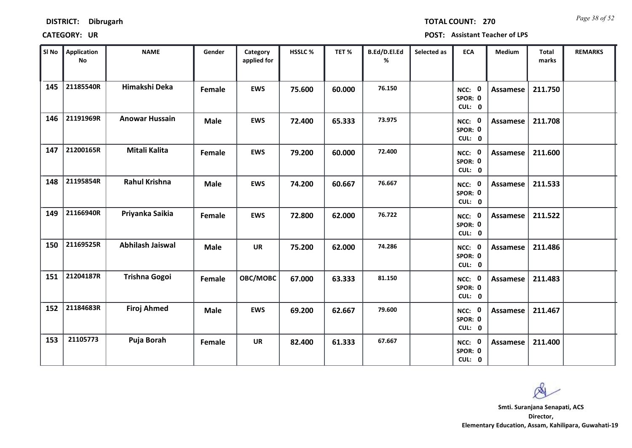*Page 38 of 52* **TOTAL COUNT: 270**

| SI No | Application<br>$\mathsf{No}$ | <b>NAME</b>             | Gender      | Category<br>applied for | <b>HSSLC %</b> | TET%   | B.Ed/D.El.Ed<br>% | Selected as | <b>ECA</b>                  | <b>Medium</b>   | <b>Total</b><br>marks | <b>REMARKS</b> |
|-------|------------------------------|-------------------------|-------------|-------------------------|----------------|--------|-------------------|-------------|-----------------------------|-----------------|-----------------------|----------------|
| 145   | 21185540R                    | Himakshi Deka           | Female      | <b>EWS</b>              | 75.600         | 60.000 | 76.150            |             | NCC: 0<br>SPOR: 0<br>CUL: 0 | <b>Assamese</b> | 211.750               |                |
| 146   | 21191969R                    | <b>Anowar Hussain</b>   | <b>Male</b> | <b>EWS</b>              | 72.400         | 65.333 | 73.975            |             | NCC: 0<br>SPOR: 0<br>CUL: 0 | Assamese        | 211.708               |                |
| 147   | 21200165R                    | Mitali Kalita           | Female      | <b>EWS</b>              | 79.200         | 60.000 | 72.400            |             | NCC: 0<br>SPOR: 0<br>CUL: 0 | <b>Assamese</b> | 211.600               |                |
| 148   | 21195854R                    | <b>Rahul Krishna</b>    | <b>Male</b> | <b>EWS</b>              | 74.200         | 60.667 | 76.667            |             | NCC: 0<br>SPOR: 0<br>CUL: 0 | <b>Assamese</b> | 211.533               |                |
| 149   | 21166940R                    | Priyanka Saikia         | Female      | <b>EWS</b>              | 72.800         | 62.000 | 76.722            |             | NCC: 0<br>SPOR: 0<br>CUL: 0 | Assamese        | 211.522               |                |
| 150   | 21169525R                    | <b>Abhilash Jaiswal</b> | <b>Male</b> | <b>UR</b>               | 75.200         | 62.000 | 74.286            |             | NCC: 0<br>SPOR: 0<br>CUL: 0 | <b>Assamese</b> | 211.486               |                |
| 151   | 21204187R                    | <b>Trishna Gogoi</b>    | Female      | <b>OBC/MOBC</b>         | 67.000         | 63.333 | 81.150            |             | NCC: 0<br>SPOR: 0<br>CUL: 0 | <b>Assamese</b> | 211.483               |                |
| 152   | 21184683R                    | <b>Firoj Ahmed</b>      | <b>Male</b> | <b>EWS</b>              | 69.200         | 62.667 | 79.600            |             | NCC: 0<br>SPOR: 0<br>CUL: 0 | <b>Assamese</b> | 211.467               |                |
| 153   | 21105773                     | Puja Borah              | Female      | <b>UR</b>               | 82.400         | 61.333 | 67.667            |             | NCC: 0<br>SPOR: 0<br>CUL: 0 | Assamese        | 211.400               |                |

 $\infty$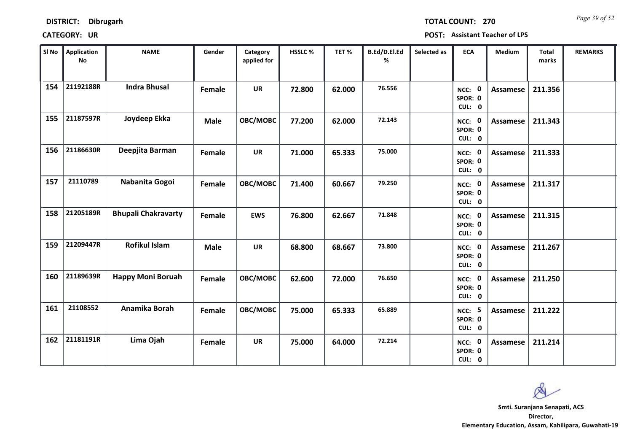*Page 39 of 52* **TOTAL COUNT: 270**

| SI No | Application<br>$\mathsf{No}$ | <b>NAME</b>                | Gender      | Category<br>applied for | <b>HSSLC %</b> | TET%   | B.Ed/D.El.Ed<br>% | Selected as | <b>ECA</b>                         | <b>Medium</b>   | <b>Total</b><br>marks | <b>REMARKS</b> |
|-------|------------------------------|----------------------------|-------------|-------------------------|----------------|--------|-------------------|-------------|------------------------------------|-----------------|-----------------------|----------------|
| 154   | 21192188R                    | <b>Indra Bhusal</b>        | Female      | <b>UR</b>               | 72.800         | 62.000 | 76.556            |             | NCC: 0<br>SPOR: 0<br>CUL: 0        | <b>Assamese</b> | 211.356               |                |
| 155   | 21187597R                    | Joydeep Ekka               | <b>Male</b> | OBC/MOBC                | 77.200         | 62.000 | 72.143            |             | NCC: 0<br>SPOR: 0<br>CUL: 0        | Assamese        | 211.343               |                |
| 156   | 21186630R                    | Deepjita Barman            | Female      | <b>UR</b>               | 71.000         | 65.333 | 75.000            |             | NCC: 0<br>SPOR: 0<br>CUL: 0        | Assamese        | 211.333               |                |
| 157   | 21110789                     | Nabanita Gogoi             | Female      | OBC/MOBC                | 71.400         | 60.667 | 79.250            |             | NCC: 0<br>SPOR: 0<br>CUL: 0        | Assamese        | 211.317               |                |
| 158   | 21205189R                    | <b>Bhupali Chakravarty</b> | Female      | <b>EWS</b>              | 76.800         | 62.667 | 71.848            |             | NCC: 0<br>SPOR: 0<br>CUL: 0        | Assamese        | 211.315               |                |
| 159   | 21209447R                    | <b>Rofikul Islam</b>       | <b>Male</b> | <b>UR</b>               | 68.800         | 68.667 | 73.800            |             | NCC: 0<br>SPOR: 0<br>CUL: 0        | <b>Assamese</b> | 211.267               |                |
| 160   | 21189639R                    | <b>Happy Moni Boruah</b>   | Female      | <b>OBC/MOBC</b>         | 62.600         | 72.000 | 76.650            |             | NCC: 0<br>SPOR: 0<br>CUL: 0        | <b>Assamese</b> | 211.250               |                |
| 161   | 21108552                     | Anamika Borah              | Female      | OBC/MOBC                | 75.000         | 65.333 | 65.889            |             | <b>NCC: 5</b><br>SPOR: 0<br>CUL: 0 | <b>Assamese</b> | 211.222               |                |
| 162   | 21181191R                    | Lima Ojah                  | Female      | <b>UR</b>               | 75.000         | 64.000 | 72.214            |             | NCC: 0<br>SPOR: 0<br>CUL: 0        | <b>Assamese</b> | 211.214               |                |

 $\infty$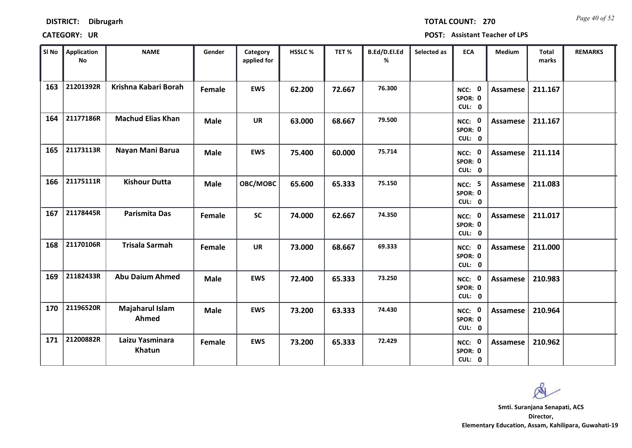*Page 40 of 52* **TOTAL COUNT: 270**

| SI No | <b>Application</b><br><b>No</b> | <b>NAME</b>               | Gender      | Category<br>applied for | HSSLC % | TET%   | B.Ed/D.El.Ed<br>% | Selected as | <b>ECA</b>                         | Medium          | Total<br>marks | <b>REMARKS</b> |
|-------|---------------------------------|---------------------------|-------------|-------------------------|---------|--------|-------------------|-------------|------------------------------------|-----------------|----------------|----------------|
| 163   | 21201392R                       | Krishna Kabari Borah      | Female      | <b>EWS</b>              | 62.200  | 72.667 | 76.300            |             | NCC: 0<br>SPOR: 0<br>CUL: 0        | <b>Assamese</b> | 211.167        |                |
| 164   | 21177186R                       | <b>Machud Elias Khan</b>  | <b>Male</b> | <b>UR</b>               | 63.000  | 68.667 | 79.500            |             | NCC: 0<br>SPOR: 0<br>CUL: 0        | Assamese        | 211.167        |                |
| 165   | 21173113R                       | Nayan Mani Barua          | <b>Male</b> | <b>EWS</b>              | 75.400  | 60.000 | 75.714            |             | NCC: 0<br>SPOR: 0<br>CUL: 0        | Assamese        | 211.114        |                |
| 166   | 21175111R                       | <b>Kishour Dutta</b>      | <b>Male</b> | OBC/MOBC                | 65.600  | 65.333 | 75.150            |             | <b>NCC: 5</b><br>SPOR: 0<br>CUL: 0 | <b>Assamese</b> | 211.083        |                |
| 167   | 21178445R                       | <b>Parismita Das</b>      | Female      | <b>SC</b>               | 74.000  | 62.667 | 74.350            |             | NCC: 0<br>SPOR: 0<br>CUL: 0        | <b>Assamese</b> | 211.017        |                |
| 168   | 21170106R                       | <b>Trisala Sarmah</b>     | Female      | <b>UR</b>               | 73.000  | 68.667 | 69.333            |             | NCC: 0<br>SPOR: 0<br>CUL: 0        | <b>Assamese</b> | 211.000        |                |
| 169   | 21182433R                       | <b>Abu Daium Ahmed</b>    | <b>Male</b> | <b>EWS</b>              | 72.400  | 65.333 | 73.250            |             | NCC: 0<br>SPOR: 0<br>CUL: 0        | Assamese        | 210.983        |                |
| 170   | 21196520R                       | Majaharul Islam<br>Ahmed  | <b>Male</b> | <b>EWS</b>              | 73.200  | 63.333 | 74.430            |             | NCC: 0<br>SPOR: 0<br>CUL: 0        | Assamese        | 210.964        |                |
| 171   | 21200882R                       | Laizu Yasminara<br>Khatun | Female      | <b>EWS</b>              | 73.200  | 65.333 | 72.429            |             | NCC: 0<br>SPOR: 0<br>CUL: 0        | Assamese        | 210.962        |                |

 $\infty$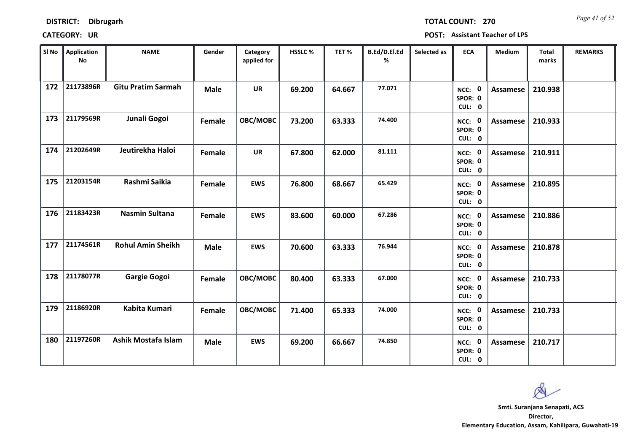*Page 41 of 52* **TOTAL COUNT: 270**

| SI No | <b>Application</b><br>$\mathsf{No}$ | <b>NAME</b>               | Gender      | Category<br>applied for | <b>HSSLC %</b> | TET%   | B.Ed/D.El.Ed<br>% | Selected as | <b>ECA</b>                  | <b>Medium</b>   | <b>Total</b><br>marks | <b>REMARKS</b> |
|-------|-------------------------------------|---------------------------|-------------|-------------------------|----------------|--------|-------------------|-------------|-----------------------------|-----------------|-----------------------|----------------|
| 172   | 21173896R                           | <b>Gitu Pratim Sarmah</b> | <b>Male</b> | <b>UR</b>               | 69.200         | 64.667 | 77.071            |             | NCC: 0<br>SPOR: 0<br>CUL: 0 | <b>Assamese</b> | 210.938               |                |
| 173   | 21179569R                           | Junali Gogoi              | Female      | OBC/MOBC                | 73.200         | 63.333 | 74.400            |             | NCC: 0<br>SPOR: 0<br>CUL: 0 | Assamese        | 210.933               |                |
| 174   | 21202649R                           | Jeutirekha Haloi          | Female      | <b>UR</b>               | 67.800         | 62.000 | 81.111            |             | NCC: 0<br>SPOR: 0<br>CUL: 0 | Assamese        | 210.911               |                |
| 175   | 21203154R                           | Rashmi Saikia             | Female      | <b>EWS</b>              | 76.800         | 68.667 | 65.429            |             | NCC: 0<br>SPOR: 0<br>CUL: 0 | Assamese        | 210.895               |                |
| 176   | 21183423R                           | <b>Nasmin Sultana</b>     | Female      | <b>EWS</b>              | 83.600         | 60.000 | 67.286            |             | NCC: 0<br>SPOR: 0<br>CUL: 0 | <b>Assamese</b> | 210.886               |                |
| 177   | 21174561R                           | <b>Rohul Amin Sheikh</b>  | <b>Male</b> | <b>EWS</b>              | 70.600         | 63.333 | 76.944            |             | NCC: 0<br>SPOR: 0<br>CUL: 0 | <b>Assamese</b> | 210.878               |                |
| 178   | 21178077R                           | <b>Gargie Gogoi</b>       | Female      | OBC/MOBC                | 80.400         | 63.333 | 67.000            |             | NCC: 0<br>SPOR: 0<br>CUL: 0 | Assamese        | 210.733               |                |
| 179   | 21186920R                           | Kabita Kumari             | Female      | OBC/MOBC                | 71.400         | 65.333 | 74.000            |             | NCC: 0<br>SPOR: 0<br>CUL: 0 | <b>Assamese</b> | 210.733               |                |
| 180   | 21197260R                           | Ashik Mostafa Islam       | <b>Male</b> | <b>EWS</b>              | 69.200         | 66.667 | 74.850            |             | NCC: 0<br>SPOR: 0<br>CUL: 0 | Assamese        | 210.717               |                |

 $\infty$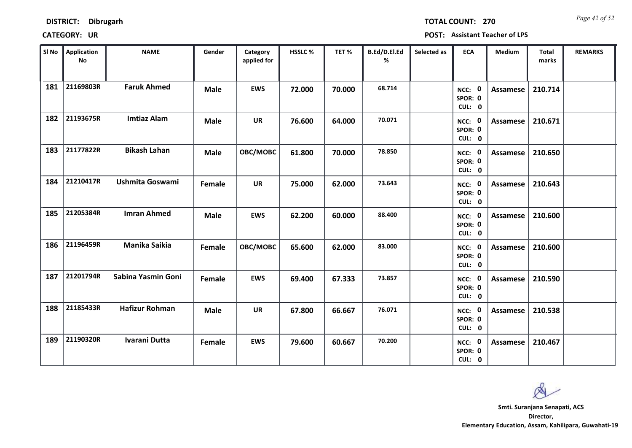| <b>DISTRICT:</b> | <b>Dibrugarh</b> |
|------------------|------------------|
|------------------|------------------|

*Page 42 of 52* **TOTAL COUNT: 270**

| SI No | <b>Application</b><br><b>No</b> | <b>NAME</b>            | Gender      | Category<br>applied for | HSSLC % | TET %  | B.Ed/D.El.Ed<br>% | Selected as | <b>ECA</b>                               | Medium          | <b>Total</b><br>marks | <b>REMARKS</b> |
|-------|---------------------------------|------------------------|-------------|-------------------------|---------|--------|-------------------|-------------|------------------------------------------|-----------------|-----------------------|----------------|
| 181   | 21169803R                       | <b>Faruk Ahmed</b>     | <b>Male</b> | <b>EWS</b>              | 72.000  | 70.000 | 68.714            |             | $\mathbf 0$<br>NCC:<br>SPOR: 0<br>CUL: 0 | <b>Assamese</b> | 210.714               |                |
| 182   | 21193675R                       | <b>Imtiaz Alam</b>     | <b>Male</b> | <b>UR</b>               | 76.600  | 64.000 | 70.071            |             | NCC: 0<br>SPOR: 0<br>CUL: 0              | Assamese        | 210.671               |                |
| 183   | 21177822R                       | <b>Bikash Lahan</b>    | <b>Male</b> | OBC/MOBC                | 61.800  | 70.000 | 78.850            |             | NCC: 0<br>SPOR: 0<br>CUL: 0              | Assamese        | 210.650               |                |
| 184   | 21210417R                       | <b>Ushmita Goswami</b> | Female      | <b>UR</b>               | 75.000  | 62.000 | 73.643            |             | NCC: 0<br>SPOR: 0<br>CUL: 0              | <b>Assamese</b> | 210.643               |                |
| 185   | 21205384R                       | <b>Imran Ahmed</b>     | <b>Male</b> | <b>EWS</b>              | 62.200  | 60.000 | 88.400            |             | NCC: 0<br>SPOR: 0<br>CUL: 0              | Assamese        | 210.600               |                |
| 186   | 21196459R                       | Manika Saikia          | Female      | OBC/MOBC                | 65.600  | 62.000 | 83.000            |             | NCC: 0<br>SPOR: 0<br>CUL: 0              | Assamese        | 210.600               |                |
| 187   | 21201794R                       | Sabina Yasmin Goni     | Female      | <b>EWS</b>              | 69.400  | 67.333 | 73.857            |             | 0<br>NCC:<br>SPOR: 0<br>CUL: 0           | Assamese        | 210.590               |                |
| 188   | 21185433R                       | <b>Hafizur Rohman</b>  | <b>Male</b> | <b>UR</b>               | 67.800  | 66.667 | 76.071            |             | NCC: 0<br>SPOR: 0<br>CUL: 0              | <b>Assamese</b> | 210.538               |                |
| 189   | 21190320R                       | <b>Ivarani Dutta</b>   | Female      | <b>EWS</b>              | 79.600  | 60.667 | 70.200            |             | NCC: 0<br>SPOR: 0<br>CUL: 0              | Assamese        | 210.467               |                |

 $\infty$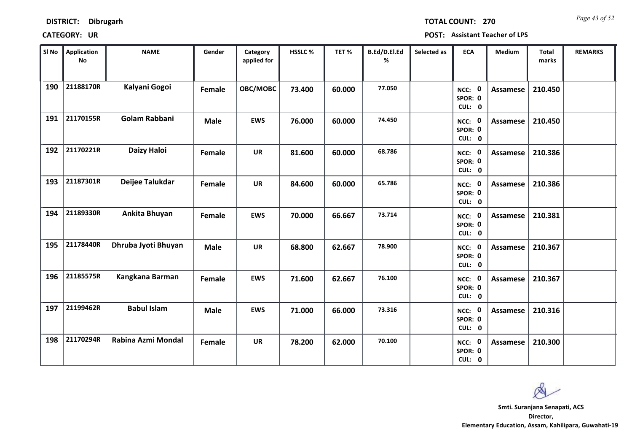| <b>DISTRICT:</b> | <b>Dibrugarh</b> |
|------------------|------------------|
|------------------|------------------|

*Page 43 of 52* **TOTAL COUNT: 270**

| SI No | <b>Application</b><br>No | <b>NAME</b>          | Gender        | Category<br>applied for | HSSLC % | TET%   | B.Ed/D.El.Ed<br>% | Selected as | <b>ECA</b>                  | Medium          | Total<br>marks | <b>REMARKS</b> |
|-------|--------------------------|----------------------|---------------|-------------------------|---------|--------|-------------------|-------------|-----------------------------|-----------------|----------------|----------------|
| 190   | 21188170R                | Kalyani Gogoi        | Female        | OBC/MOBC                | 73.400  | 60.000 | 77.050            |             | NCC: 0<br>SPOR: 0<br>CUL: 0 | <b>Assamese</b> | 210.450        |                |
| 191   | 21170155R                | <b>Golam Rabbani</b> | <b>Male</b>   | <b>EWS</b>              | 76.000  | 60.000 | 74.450            |             | NCC: 0<br>SPOR: 0<br>CUL: 0 | Assamese        | 210.450        |                |
| 192   | 21170221R                | Daizy Haloi          | Female        | <b>UR</b>               | 81.600  | 60.000 | 68.786            |             | NCC: 0<br>SPOR: 0<br>CUL: 0 | <b>Assamese</b> | 210.386        |                |
| 193   | 21187301R                | Deijee Talukdar      | <b>Female</b> | <b>UR</b>               | 84.600  | 60.000 | 65.786            |             | NCC: 0<br>SPOR: 0<br>CUL: 0 | <b>Assamese</b> | 210.386        |                |
| 194   | 21189330R                | Ankita Bhuyan        | Female        | <b>EWS</b>              | 70.000  | 66.667 | 73.714            |             | NCC: 0<br>SPOR: 0<br>CUL: 0 | <b>Assamese</b> | 210.381        |                |
| 195   | 21178440R                | Dhruba Jyoti Bhuyan  | <b>Male</b>   | <b>UR</b>               | 68.800  | 62.667 | 78.900            |             | NCC: 0<br>SPOR: 0<br>CUL: 0 | <b>Assamese</b> | 210.367        |                |
| 196   | 21185575R                | Kangkana Barman      | Female        | <b>EWS</b>              | 71.600  | 62.667 | 76.100            |             | NCC: 0<br>SPOR: 0<br>CUL: 0 | Assamese        | 210.367        |                |
| 197   | 21199462R                | <b>Babul Islam</b>   | <b>Male</b>   | <b>EWS</b>              | 71.000  | 66.000 | 73.316            |             | NCC: 0<br>SPOR: 0<br>CUL: 0 | <b>Assamese</b> | 210.316        |                |
| 198   | 21170294R                | Rabina Azmi Mondal   | Female        | <b>UR</b>               | 78.200  | 62.000 | 70.100            |             | NCC: 0<br>SPOR: 0<br>CUL: 0 | <b>Assamese</b> | 210.300        |                |

 $\infty$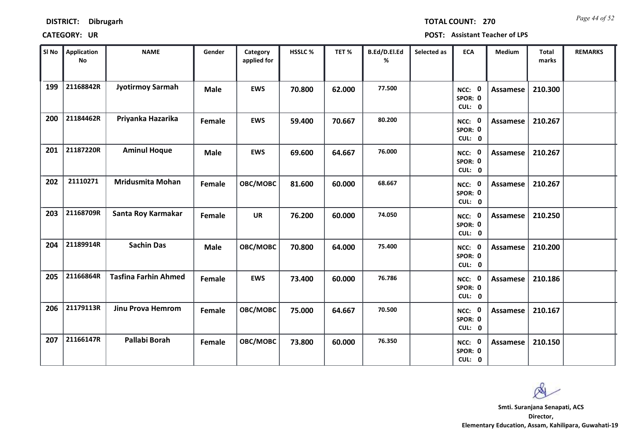| <b>DISTRICT:</b> | <b>Dibrugarh</b> |
|------------------|------------------|
|------------------|------------------|

*Page 44 of 52* **TOTAL COUNT: 270**

| SI No | <b>Application</b><br>No | <b>NAME</b>                 | Gender      | Category<br>applied for | HSSLC% | TET%   | B.Ed/D.El.Ed<br>% | Selected as | <b>ECA</b>                  | Medium          | Total<br>marks | <b>REMARKS</b> |
|-------|--------------------------|-----------------------------|-------------|-------------------------|--------|--------|-------------------|-------------|-----------------------------|-----------------|----------------|----------------|
| 199   | 21168842R                | <b>Jyotirmoy Sarmah</b>     | <b>Male</b> | <b>EWS</b>              | 70.800 | 62.000 | 77.500            |             | NCC: 0<br>SPOR: 0<br>CUL: 0 | Assamese        | 210.300        |                |
| 200   | 21184462R                | Priyanka Hazarika           | Female      | <b>EWS</b>              | 59.400 | 70.667 | 80.200            |             | NCC: 0<br>SPOR: 0<br>CUL: 0 | Assamese        | 210.267        |                |
| 201   | 21187220R                | <b>Aminul Hoque</b>         | <b>Male</b> | <b>EWS</b>              | 69.600 | 64.667 | 76.000            |             | NCC: 0<br>SPOR: 0<br>CUL: 0 | Assamese        | 210.267        |                |
| 202   | 21110271                 | <b>Mridusmita Mohan</b>     | Female      | OBC/MOBC                | 81.600 | 60.000 | 68.667            |             | NCC: 0<br>SPOR: 0<br>CUL: 0 | Assamese        | 210.267        |                |
| 203   | 21168709R                | Santa Roy Karmakar          | Female      | <b>UR</b>               | 76.200 | 60.000 | 74.050            |             | NCC: 0<br>SPOR: 0<br>CUL: 0 | <b>Assamese</b> | 210.250        |                |
| 204   | 21189914R                | <b>Sachin Das</b>           | <b>Male</b> | OBC/MOBC                | 70.800 | 64.000 | 75.400            |             | NCC: 0<br>SPOR: 0<br>CUL: 0 | <b>Assamese</b> | 210.200        |                |
| 205   | 21166864R                | <b>Tasfina Farhin Ahmed</b> | Female      | <b>EWS</b>              | 73.400 | 60.000 | 76.786            |             | NCC: 0<br>SPOR: 0<br>CUL: 0 | Assamese        | 210.186        |                |
| 206   | 21179113R                | <b>Jinu Prova Hemrom</b>    | Female      | OBC/MOBC                | 75.000 | 64.667 | 70.500            |             | NCC: 0<br>SPOR: 0<br>CUL: 0 | <b>Assamese</b> | 210.167        |                |
| 207   | 21166147R                | Pallabi Borah               | Female      | OBC/MOBC                | 73.800 | 60.000 | 76.350            |             | NCC: 0<br>SPOR: 0<br>CUL: 0 | Assamese        | 210.150        |                |

Ø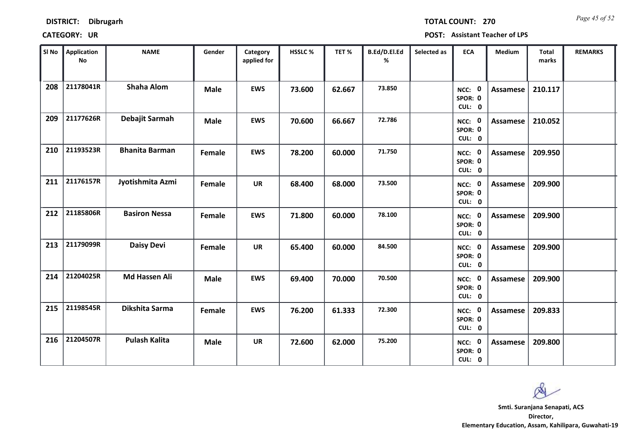| <b>DISTRICT:</b> | <b>Dibrugarh</b> |
|------------------|------------------|
|------------------|------------------|

*Page 45 of 52* **TOTAL COUNT: 270**

| SI No | <b>Application</b><br><b>No</b> | <b>NAME</b>           | Gender      | Category<br>applied for | <b>HSSLC %</b> | TET %  | B.Ed/D.El.Ed<br>% | Selected as | <b>ECA</b>                  | <b>Medium</b>   | <b>Total</b><br>marks | <b>REMARKS</b> |
|-------|---------------------------------|-----------------------|-------------|-------------------------|----------------|--------|-------------------|-------------|-----------------------------|-----------------|-----------------------|----------------|
| 208   | 21178041R                       | <b>Shaha Alom</b>     | <b>Male</b> | <b>EWS</b>              | 73.600         | 62.667 | 73.850            |             | NCC: 0<br>SPOR: 0<br>CUL: 0 | <b>Assamese</b> | 210.117               |                |
| 209   | 21177626R                       | Debajit Sarmah        | <b>Male</b> | <b>EWS</b>              | 70.600         | 66.667 | 72.786            |             | NCC: 0<br>SPOR: 0<br>CUL: 0 | Assamese        | 210.052               |                |
| 210   | 21193523R                       | <b>Bhanita Barman</b> | Female      | <b>EWS</b>              | 78.200         | 60.000 | 71.750            |             | NCC: 0<br>SPOR: 0<br>CUL: 0 | Assamese        | 209.950               |                |
| 211   | 21176157R                       | Jyotishmita Azmi      | Female      | <b>UR</b>               | 68.400         | 68.000 | 73.500            |             | NCC: 0<br>SPOR: 0<br>CUL: 0 | <b>Assamese</b> | 209.900               |                |
| 212   | 21185806R                       | <b>Basiron Nessa</b>  | Female      | <b>EWS</b>              | 71.800         | 60.000 | 78.100            |             | NCC: 0<br>SPOR: 0<br>CUL: 0 | <b>Assamese</b> | 209.900               |                |
| 213   | 21179099R                       | <b>Daisy Devi</b>     | Female      | <b>UR</b>               | 65.400         | 60.000 | 84.500            |             | NCC: 0<br>SPOR: 0<br>CUL: 0 | <b>Assamese</b> | 209.900               |                |
| 214   | 21204025R                       | Md Hassen Ali         | <b>Male</b> | <b>EWS</b>              | 69.400         | 70.000 | 70.500            |             | NCC: 0<br>SPOR: 0<br>CUL: 0 | Assamese        | 209.900               |                |
| 215   | 21198545R                       | Dikshita Sarma        | Female      | <b>EWS</b>              | 76.200         | 61.333 | 72.300            |             | NCC: 0<br>SPOR: 0<br>CUL: 0 | <b>Assamese</b> | 209.833               |                |
| 216   | 21204507R                       | <b>Pulash Kalita</b>  | <b>Male</b> | <b>UR</b>               | 72.600         | 62.000 | 75.200            |             | NCC: 0<br>SPOR: 0<br>CUL: 0 | <b>Assamese</b> | 209.800               |                |

 $\infty$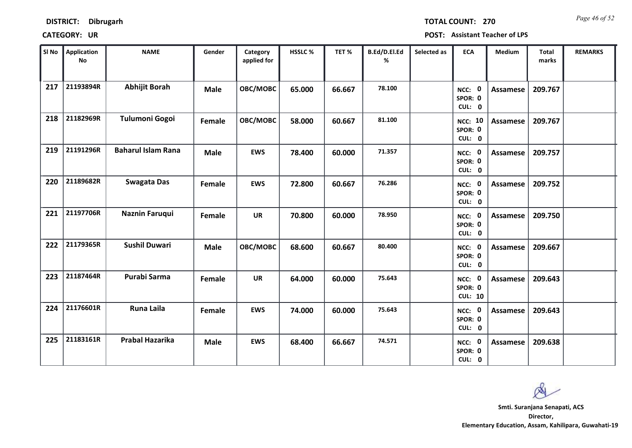| <b>DISTRICT:</b> | <b>Dibrugarh</b> |
|------------------|------------------|
|------------------|------------------|

*Page 46 of 52* **TOTAL COUNT: 270**

| SI No | <b>Application</b><br>No | <b>NAME</b>               | Gender      | Category<br>applied for | <b>HSSLC%</b> | TET %  | B.Ed/D.El.Ed<br>% | Selected as | <b>ECA</b>                          | <b>Medium</b>   | <b>Total</b><br>marks | <b>REMARKS</b> |
|-------|--------------------------|---------------------------|-------------|-------------------------|---------------|--------|-------------------|-------------|-------------------------------------|-----------------|-----------------------|----------------|
| 217   | 21193894R                | <b>Abhijit Borah</b>      | <b>Male</b> | OBC/MOBC                | 65.000        | 66.667 | 78.100            |             | NCC: 0<br>SPOR: 0<br>CUL: 0         | Assamese        | 209.767               |                |
| 218   | 21182969R                | <b>Tulumoni Gogoi</b>     | Female      | OBC/MOBC                | 58.000        | 60.667 | 81.100            |             | <b>NCC: 10</b><br>SPOR: 0<br>CUL: 0 | Assamese        | 209.767               |                |
| 219   | 21191296R                | <b>Baharul Islam Rana</b> | <b>Male</b> | <b>EWS</b>              | 78.400        | 60.000 | 71.357            |             | NCC: 0<br>SPOR: 0<br>CUL: 0         | Assamese        | 209.757               |                |
| 220   | 21189682R                | <b>Swagata Das</b>        | Female      | <b>EWS</b>              | 72.800        | 60.667 | 76.286            |             | NCC: 0<br>SPOR: 0<br>CUL: 0         | Assamese        | 209.752               |                |
| 221   | 21197706R                | Naznin Faruqui            | Female      | <b>UR</b>               | 70.800        | 60.000 | 78.950            |             | NCC: 0<br>SPOR: 0<br>CUL: 0         | Assamese        | 209.750               |                |
| 222   | 21179365R                | <b>Sushil Duwari</b>      | <b>Male</b> | OBC/MOBC                | 68.600        | 60.667 | 80.400            |             | NCC: 0<br>SPOR: 0<br>CUL: 0         | Assamese        | 209.667               |                |
| 223   | 21187464R                | Purabi Sarma              | Female      | <b>UR</b>               | 64.000        | 60.000 | 75.643            |             | NCC: 0<br>SPOR: 0<br><b>CUL: 10</b> | Assamese        | 209.643               |                |
| 224   | 21176601R                | <b>Runa Laila</b>         | Female      | <b>EWS</b>              | 74.000        | 60.000 | 75.643            |             | NCC: 0<br>SPOR: 0<br>CUL: 0         | <b>Assamese</b> | 209.643               |                |
| 225   | 21183161R                | Prabal Hazarika           | <b>Male</b> | <b>EWS</b>              | 68.400        | 66.667 | 74.571            |             | NCC: 0<br>SPOR: 0<br>CUL: 0         | Assamese        | 209.638               |                |

 $\infty$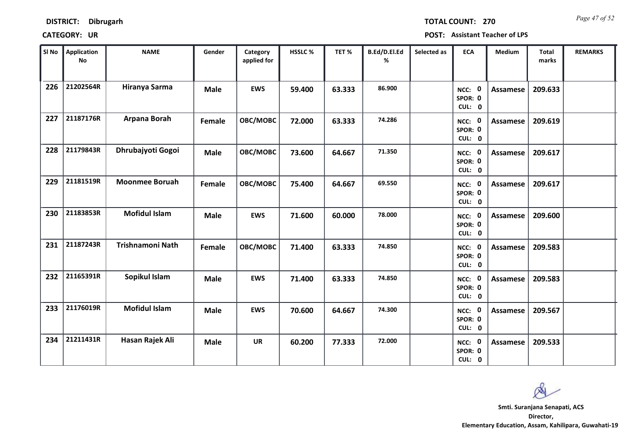*Page 47 of 52* **TOTAL COUNT: 270**

| SI No | <b>Application</b><br>No | <b>NAME</b>           | Gender      | Category<br>applied for | HSSLC % | TET%   | B.Ed/D.El.Ed<br>% | Selected as | <b>ECA</b>                  | Medium          | Total<br>marks | <b>REMARKS</b> |
|-------|--------------------------|-----------------------|-------------|-------------------------|---------|--------|-------------------|-------------|-----------------------------|-----------------|----------------|----------------|
| 226   | 21202564R                | Hiranya Sarma         | <b>Male</b> | <b>EWS</b>              | 59.400  | 63.333 | 86.900            |             | NCC: 0<br>SPOR: 0<br>CUL: 0 | <b>Assamese</b> | 209.633        |                |
| 227   | 21187176R                | Arpana Borah          | Female      | OBC/MOBC                | 72.000  | 63.333 | 74.286            |             | NCC: 0<br>SPOR: 0<br>CUL: 0 | Assamese        | 209.619        |                |
| 228   | 21179843R                | Dhrubajyoti Gogoi     | <b>Male</b> | OBC/MOBC                | 73.600  | 64.667 | 71.350            |             | NCC: 0<br>SPOR: 0<br>CUL: 0 | <b>Assamese</b> | 209.617        |                |
| 229   | 21181519R                | <b>Moonmee Boruah</b> | Female      | OBC/MOBC                | 75.400  | 64.667 | 69.550            |             | NCC: 0<br>SPOR: 0<br>CUL: 0 | Assamese        | 209.617        |                |
| 230   | 21183853R                | <b>Mofidul Islam</b>  | <b>Male</b> | <b>EWS</b>              | 71.600  | 60.000 | 78.000            |             | NCC: 0<br>SPOR: 0<br>CUL: 0 | <b>Assamese</b> | 209.600        |                |
| 231   | 21187243R                | Trishnamoni Nath      | Female      | OBC/MOBC                | 71.400  | 63.333 | 74.850            |             | NCC: 0<br>SPOR: 0<br>CUL: 0 | <b>Assamese</b> | 209.583        |                |
| 232   | 21165391R                | Sopikul Islam         | <b>Male</b> | <b>EWS</b>              | 71.400  | 63.333 | 74.850            |             | NCC: 0<br>SPOR: 0<br>CUL: 0 | Assamese        | 209.583        |                |
| 233   | 21176019R                | <b>Mofidul Islam</b>  | <b>Male</b> | <b>EWS</b>              | 70.600  | 64.667 | 74.300            |             | NCC: 0<br>SPOR: 0<br>CUL: 0 | <b>Assamese</b> | 209.567        |                |
| 234   | 21211431R                | Hasan Rajek Ali       | <b>Male</b> | <b>UR</b>               | 60.200  | 77.333 | 72.000            |             | NCC: 0<br>SPOR: 0<br>CUL: 0 | <b>Assamese</b> | 209.533        |                |

Q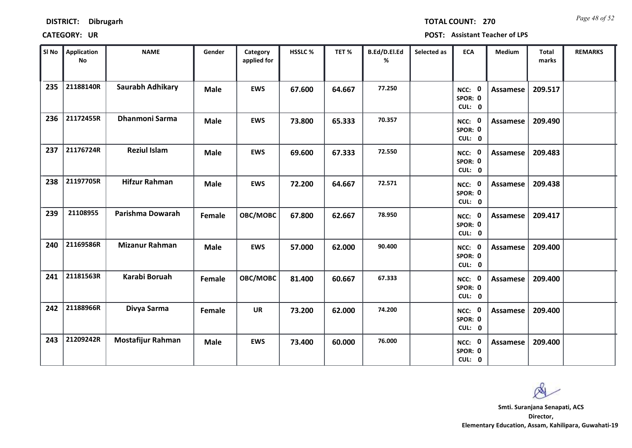| <b>DISTRICT:</b> | <b>Dibrugarh</b> |
|------------------|------------------|
|------------------|------------------|

*Page 48 of 52* **TOTAL COUNT: 270**

| SI No | <b>Application</b><br>No | <b>NAME</b>              | Gender      | Category<br>applied for | HSSLC% | TET%   | B.Ed/D.El.Ed<br>% | Selected as | <b>ECA</b>                  | Medium          | Total<br>marks | <b>REMARKS</b> |  |
|-------|--------------------------|--------------------------|-------------|-------------------------|--------|--------|-------------------|-------------|-----------------------------|-----------------|----------------|----------------|--|
| 235   | 21188140R                | <b>Saurabh Adhikary</b>  | <b>Male</b> | <b>EWS</b>              | 67.600 | 64.667 | 77.250            |             | NCC: 0<br>SPOR: 0<br>CUL: 0 | <b>Assamese</b> | 209.517        |                |  |
| 236   | 21172455R                | <b>Dhanmoni Sarma</b>    | <b>Male</b> | <b>EWS</b>              | 73.800 | 65.333 | 70.357            |             | NCC: 0<br>SPOR: 0<br>CUL: 0 | <b>Assamese</b> | 209.490        |                |  |
| 237   | 21176724R                | <b>Reziul Islam</b>      | <b>Male</b> | <b>EWS</b>              | 69.600 | 67.333 | 72.550            |             | NCC: 0<br>SPOR: 0<br>CUL: 0 | Assamese        | 209.483        |                |  |
| 238   | 21197705R                | <b>Hifzur Rahman</b>     | <b>Male</b> | <b>EWS</b>              | 72.200 | 64.667 | 72.571            |             | NCC: 0<br>SPOR: 0<br>CUL: 0 | Assamese        | 209.438        |                |  |
| 239   | 21108955                 | Parishma Dowarah         | Female      | OBC/MOBC                | 67.800 | 62.667 | 78.950            |             | NCC: 0<br>SPOR: 0<br>CUL: 0 | <b>Assamese</b> | 209.417        |                |  |
| 240   | 21169586R                | <b>Mizanur Rahman</b>    | <b>Male</b> | <b>EWS</b>              | 57.000 | 62.000 | 90.400            |             | NCC: 0<br>SPOR: 0<br>CUL: 0 | Assamese        | 209.400        |                |  |
| 241   | 21181563R                | Karabi Boruah            | Female      | OBC/MOBC                | 81.400 | 60.667 | 67.333            |             | NCC: 0<br>SPOR: 0<br>CUL: 0 | Assamese        | 209.400        |                |  |
| 242   | 21188966R                | Divya Sarma              | Female      | <b>UR</b>               | 73.200 | 62.000 | 74.200            |             | NCC: 0<br>SPOR: 0<br>CUL: 0 | Assamese        | 209.400        |                |  |
| 243   | 21209242R                | <b>Mostafijur Rahman</b> | <b>Male</b> | <b>EWS</b>              | 73.400 | 60.000 | 76.000            |             | NCC: 0<br>SPOR: 0<br>CUL: 0 | Assamese        | 209.400        |                |  |

 $\alpha$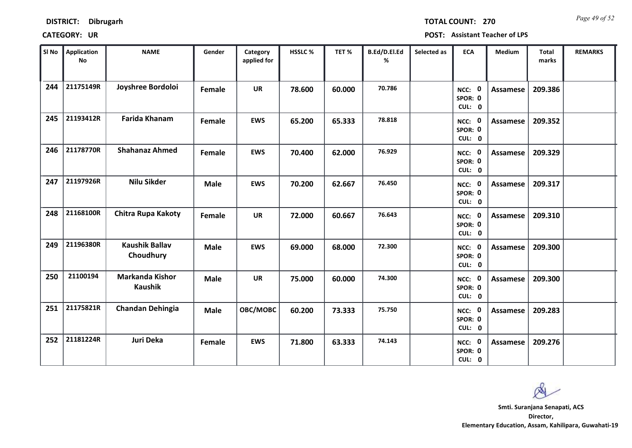*Page 49 of 52* **TOTAL COUNT: 270**

| SI No | <b>Application</b><br>No | <b>NAME</b>                        | Gender      | Category<br>applied for | HSSLC% | TET%   | B.Ed/D.El.Ed<br>% | Selected as | <b>ECA</b>                  | Medium          | Total<br>marks | <b>REMARKS</b> |
|-------|--------------------------|------------------------------------|-------------|-------------------------|--------|--------|-------------------|-------------|-----------------------------|-----------------|----------------|----------------|
| 244   | 21175149R                | Joyshree Bordoloi                  | Female      | <b>UR</b>               | 78.600 | 60.000 | 70.786            |             | NCC: 0<br>SPOR: 0<br>CUL: 0 | <b>Assamese</b> | 209.386        |                |
| 245   | 21193412R                | <b>Farida Khanam</b>               | Female      | <b>EWS</b>              | 65.200 | 65.333 | 78.818            |             | NCC: 0<br>SPOR: 0<br>CUL: 0 | Assamese        | 209.352        |                |
| 246   | 21178770R                | <b>Shahanaz Ahmed</b>              | Female      | <b>EWS</b>              | 70.400 | 62.000 | 76.929            |             | NCC: 0<br>SPOR: 0<br>CUL: 0 | Assamese        | 209.329        |                |
| 247   | 21197926R                | <b>Nilu Sikder</b>                 | <b>Male</b> | <b>EWS</b>              | 70.200 | 62.667 | 76.450            |             | NCC: 0<br>SPOR: 0<br>CUL: 0 | <b>Assamese</b> | 209.317        |                |
| 248   | 21168100R                | <b>Chitra Rupa Kakoty</b>          | Female      | <b>UR</b>               | 72.000 | 60.667 | 76.643            |             | NCC: 0<br>SPOR: 0<br>CUL: 0 | Assamese        | 209.310        |                |
| 249   | 21196380R                | <b>Kaushik Ballav</b><br>Choudhury | <b>Male</b> | <b>EWS</b>              | 69.000 | 68.000 | 72.300            |             | NCC: 0<br>SPOR: 0<br>CUL: 0 | Assamese        | 209.300        |                |
| 250   | 21100194                 | Markanda Kishor<br><b>Kaushik</b>  | <b>Male</b> | <b>UR</b>               | 75.000 | 60.000 | 74.300            |             | NCC: 0<br>SPOR: 0<br>CUL: 0 | Assamese        | 209.300        |                |
| 251   | 21175821R                | <b>Chandan Dehingia</b>            | <b>Male</b> | OBC/MOBC                | 60.200 | 73.333 | 75.750            |             | NCC: 0<br>SPOR: 0<br>CUL: 0 | <b>Assamese</b> | 209.283        |                |
| 252   | 21181224R                | Juri Deka                          | Female      | <b>EWS</b>              | 71.800 | 63.333 | 74.143            |             | NCC: 0<br>SPOR: 0<br>CUL: 0 | Assamese        | 209.276        |                |

 $\infty$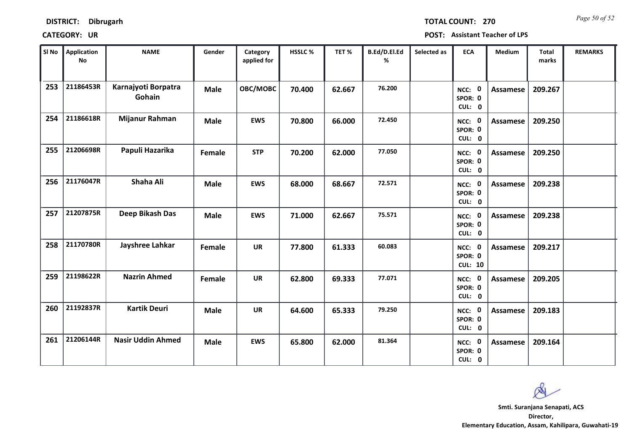**DISTRICT: Dibrugarh**

*Page 50 of 52* **TOTAL COUNT: 270**

| SI No | <b>Application</b><br>No | <b>NAME</b>                   | Gender      | Category<br>applied for | HSSLC % | TET%   | B.Ed/D.El.Ed<br>% | Selected as | <b>ECA</b>                          | Medium          | Total<br>marks | <b>REMARKS</b> |
|-------|--------------------------|-------------------------------|-------------|-------------------------|---------|--------|-------------------|-------------|-------------------------------------|-----------------|----------------|----------------|
| 253   | 21186453R                | Karnajyoti Borpatra<br>Gohain | <b>Male</b> | OBC/MOBC                | 70.400  | 62.667 | 76.200            |             | NCC: 0<br>SPOR: 0<br>CUL: 0         | <b>Assamese</b> | 209.267        |                |
| 254   | 21186618R                | Mijanur Rahman                | <b>Male</b> | <b>EWS</b>              | 70.800  | 66.000 | 72.450            |             | NCC: 0<br>SPOR: 0<br>CUL: 0         | Assamese        | 209.250        |                |
| 255   | 21206698R                | Papuli Hazarika               | Female      | <b>STP</b>              | 70.200  | 62.000 | 77.050            |             | NCC: 0<br>SPOR: 0<br>CUL: 0         | <b>Assamese</b> | 209.250        |                |
| 256   | 21176047R                | Shaha Ali                     | <b>Male</b> | <b>EWS</b>              | 68.000  | 68.667 | 72.571            |             | NCC: 0<br>SPOR: 0<br>CUL: 0         | <b>Assamese</b> | 209.238        |                |
| 257   | 21207875R                | Deep Bikash Das               | <b>Male</b> | <b>EWS</b>              | 71.000  | 62.667 | 75.571            |             | NCC: 0<br>SPOR: 0<br>CUL: 0         | <b>Assamese</b> | 209.238        |                |
| 258   | 21170780R                | Jayshree Lahkar               | Female      | <b>UR</b>               | 77.800  | 61.333 | 60.083            |             | NCC: 0<br>SPOR: 0<br><b>CUL: 10</b> | <b>Assamese</b> | 209.217        |                |
| 259   | 21198622R                | <b>Nazrin Ahmed</b>           | Female      | <b>UR</b>               | 62.800  | 69.333 | 77.071            |             | NCC: 0<br>SPOR: 0<br>CUL: 0         | Assamese        | 209.205        |                |
| 260   | 21192837R                | <b>Kartik Deuri</b>           | <b>Male</b> | <b>UR</b>               | 64.600  | 65.333 | 79.250            |             | NCC: 0<br>SPOR: 0<br>CUL: 0         | <b>Assamese</b> | 209.183        |                |
| 261   | 21206144R                | <b>Nasir Uddin Ahmed</b>      | <b>Male</b> | <b>EWS</b>              | 65.800  | 62.000 | 81.364            |             | NCC: 0<br>SPOR: 0<br>CUL: 0         | <b>Assamese</b> | 209.164        |                |

Q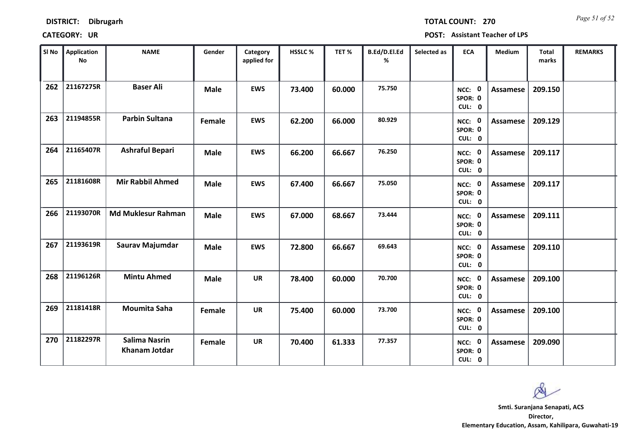| <b>DISTRICT:</b> | Dibrugarh |
|------------------|-----------|
|------------------|-----------|

*Page 51 of 52* **TOTAL COUNT: 270**

| SI <sub>No</sub> | <b>Application</b><br><b>No</b> | <b>NAME</b>                           | Gender      | Category<br>applied for | HSSLC % | TET %  | B.Ed/D.El.Ed<br>% | Selected as | <b>ECA</b>                  | Medium          | <b>Total</b><br>marks | <b>REMARKS</b> |
|------------------|---------------------------------|---------------------------------------|-------------|-------------------------|---------|--------|-------------------|-------------|-----------------------------|-----------------|-----------------------|----------------|
| 262              | 21167275R                       | <b>Baser Ali</b>                      | <b>Male</b> | <b>EWS</b>              | 73.400  | 60.000 | 75.750            |             | NCC: 0<br>SPOR: 0<br>CUL: 0 | <b>Assamese</b> | 209.150               |                |
| 263              | 21194855R                       | <b>Parbin Sultana</b>                 | Female      | <b>EWS</b>              | 62.200  | 66.000 | 80.929            |             | NCC: 0<br>SPOR: 0<br>CUL: 0 | Assamese        | 209.129               |                |
| 264              | 21165407R                       | <b>Ashraful Bepari</b>                | <b>Male</b> | <b>EWS</b>              | 66.200  | 66.667 | 76.250            |             | NCC: 0<br>SPOR: 0<br>CUL: 0 | <b>Assamese</b> | 209.117               |                |
| 265              | 21181608R                       | <b>Mir Rabbil Ahmed</b>               | <b>Male</b> | <b>EWS</b>              | 67.400  | 66.667 | 75.050            |             | NCC: 0<br>SPOR: 0<br>CUL: 0 | Assamese        | 209.117               |                |
| 266              | 21193070R                       | <b>Md Muklesur Rahman</b>             | <b>Male</b> | <b>EWS</b>              | 67.000  | 68.667 | 73.444            |             | NCC: 0<br>SPOR: 0<br>CUL: 0 | <b>Assamese</b> | 209.111               |                |
| 267              | 21193619R                       | Saurav Majumdar                       | <b>Male</b> | <b>EWS</b>              | 72.800  | 66.667 | 69.643            |             | NCC: 0<br>SPOR: 0<br>CUL: 0 | <b>Assamese</b> | 209.110               |                |
| 268              | 21196126R                       | <b>Mintu Ahmed</b>                    | <b>Male</b> | <b>UR</b>               | 78.400  | 60.000 | 70.700            |             | NCC: 0<br>SPOR: 0<br>CUL: 0 | Assamese        | 209.100               |                |
| 269              | 21181418R                       | <b>Moumita Saha</b>                   | Female      | <b>UR</b>               | 75.400  | 60.000 | 73.700            |             | NCC: 0<br>SPOR: 0<br>CUL: 0 | <b>Assamese</b> | 209.100               |                |
| 270              | 21182297R                       | <b>Salima Nasrin</b><br>Khanam Jotdar | Female      | <b>UR</b>               | 70.400  | 61.333 | 77.357            |             | NCC: 0<br>SPOR: 0<br>CUL: 0 | Assamese        | 209.090               |                |

 $\infty$